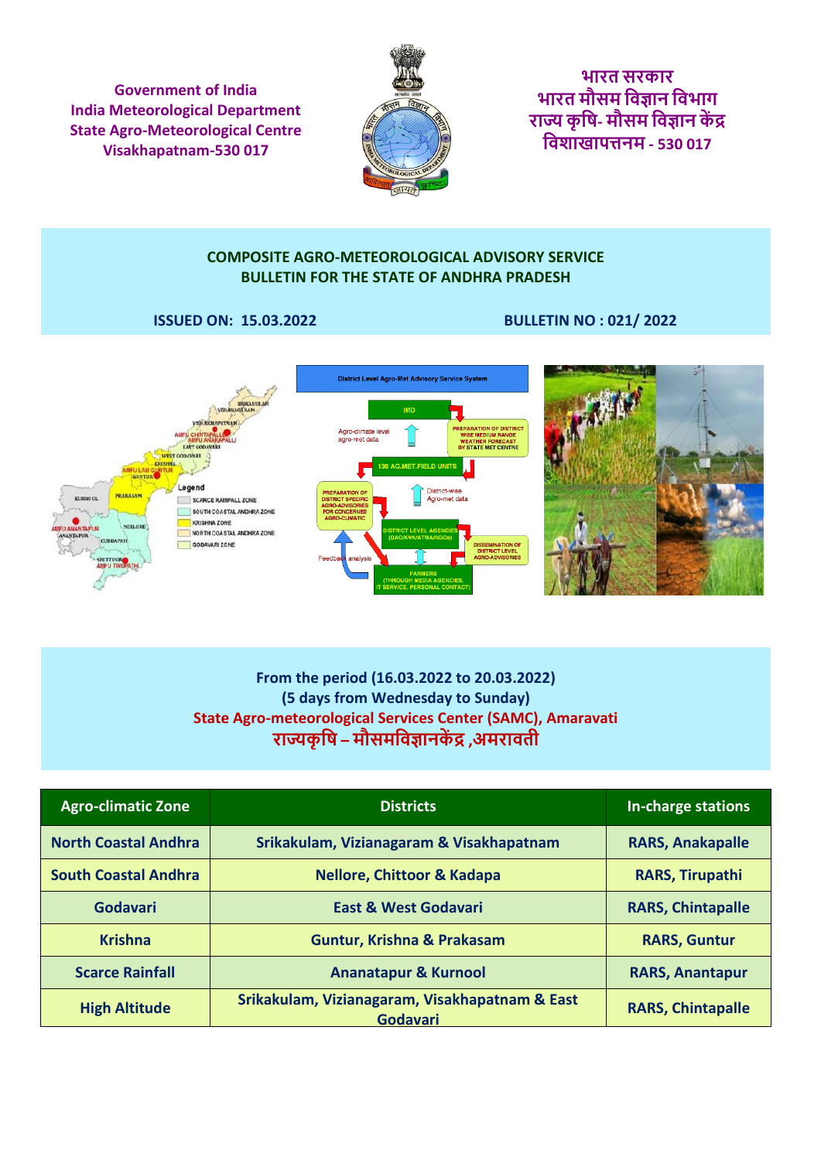**Government of India India Meteorological Department State Agro-Meteorological Centre Visakhapatnam-530 017**



**भारत सरकार भारत मौसम [विज्ञान](https://hi.wikipedia.org/wiki/%E0%A4%B5%E0%A4%BF%E0%A4%9C%E0%A5%8D%E0%A4%9E%E0%A4%BE%E0%A4%A8) विभाग राज्य कृ वि- मौसम विज्ञान कें द्र विशाखापत्तनम - 530 017**

#### **COMPOSITE AGRO-METEOROLOGICAL ADVISORY SERVICE BULLETIN FOR THE STATE OF ANDHRA PRADESH**

#### **ISSUED ON: 15.03.2022 BULLETIN NO : 021/ 2022**



## **From the period (16.03.2022 to 20.03.2022) (5 days from Wednesday to Sunday) State Agro-meteorological Services Center (SAMC), Amaravati राज्यकृ वि – [मौसमविज्ञानकें द्र](https://hi.wikipedia.org/wiki/%E0%A4%95%E0%A5%83%E0%A4%B7%E0%A4%BF) ,अमरािती**

| <b>Agro-climatic Zone</b>   | <b>Districts</b>                                                  | In-charge stations       |
|-----------------------------|-------------------------------------------------------------------|--------------------------|
| <b>North Coastal Andhra</b> | Srikakulam, Vizianagaram & Visakhapatnam                          | <b>RARS, Anakapalle</b>  |
| <b>South Coastal Andhra</b> | <b>Nellore, Chittoor &amp; Kadapa</b>                             | <b>RARS, Tirupathi</b>   |
| Godavari                    | <b>East &amp; West Godavari</b>                                   | <b>RARS, Chintapalle</b> |
| <b>Krishna</b>              | Guntur, Krishna & Prakasam                                        | <b>RARS, Guntur</b>      |
| <b>Scarce Rainfall</b>      | <b>Ananatapur &amp; Kurnool</b>                                   | <b>RARS, Anantapur</b>   |
| <b>High Altitude</b>        | Srikakulam, Vizianagaram, Visakhapatnam & East<br><b>Godavari</b> | <b>RARS, Chintapalle</b> |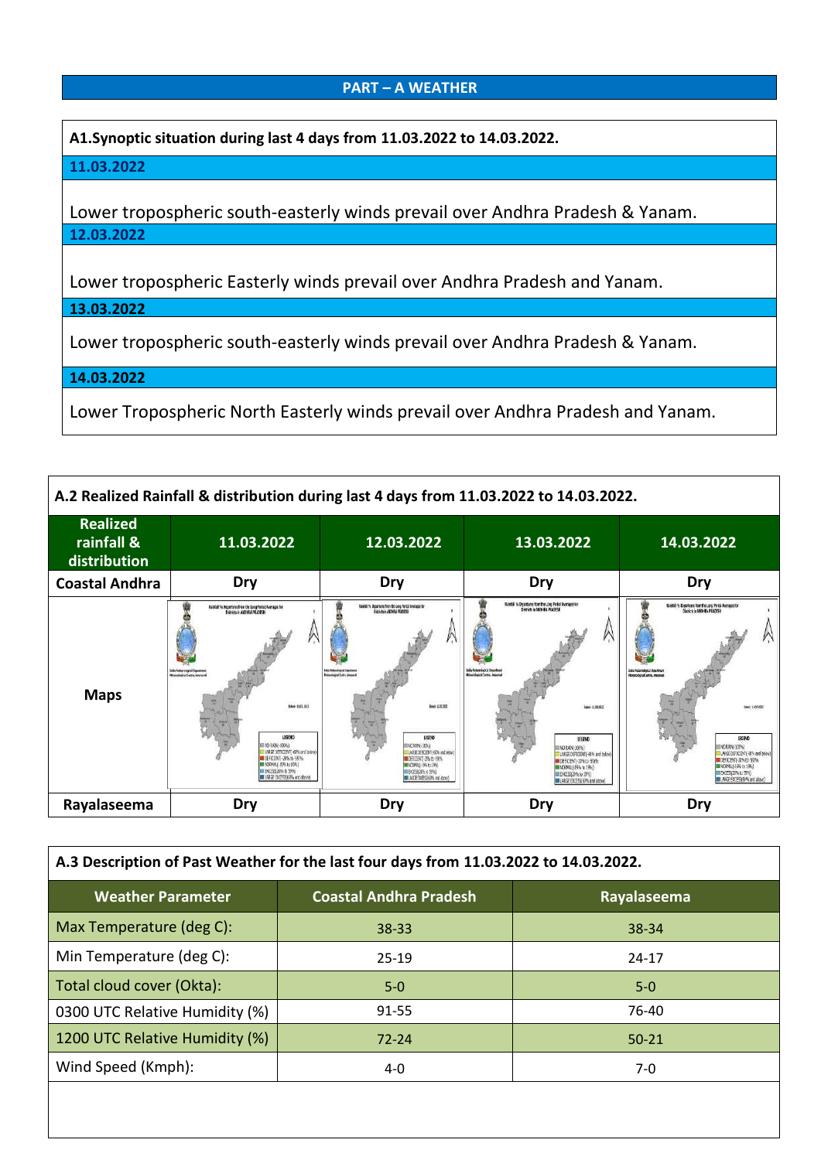#### **PART – A WEATHER**

**A1.Synoptic situation during last 4 days from 11.03.2022 to 14.03.2022.**

#### **11.03.2022**

Lower tropospheric south-easterly winds prevail over Andhra Pradesh & Yanam. **12.03.2022**

Lower tropospheric Easterly winds prevail over Andhra Pradesh and Yanam.

**13.03.2022**

Lower tropospheric south-easterly winds prevail over Andhra Pradesh & Yanam.

**14.03.2022**

Lower Tropospheric North Easterly winds prevail over Andhra Pradesh and Yanam.

| A.2 Realized Rainfall & distribution during last 4 days from 11.03.2022 to 14.03.2022. |                                                                                                                                                                                                                                                                                                                                                                                       |                                                                                                                                                                                                                                                                                                                                                                         |                                                                                                                                                                                                                                                                                                                                                          |                                                                                                                                                                                                                                                                                                                                                                    |
|----------------------------------------------------------------------------------------|---------------------------------------------------------------------------------------------------------------------------------------------------------------------------------------------------------------------------------------------------------------------------------------------------------------------------------------------------------------------------------------|-------------------------------------------------------------------------------------------------------------------------------------------------------------------------------------------------------------------------------------------------------------------------------------------------------------------------------------------------------------------------|----------------------------------------------------------------------------------------------------------------------------------------------------------------------------------------------------------------------------------------------------------------------------------------------------------------------------------------------------------|--------------------------------------------------------------------------------------------------------------------------------------------------------------------------------------------------------------------------------------------------------------------------------------------------------------------------------------------------------------------|
| <b>Realized</b><br>rainfall &<br>distribution                                          | 11.03.2022                                                                                                                                                                                                                                                                                                                                                                            | 12.03.2022                                                                                                                                                                                                                                                                                                                                                              | 13.03.2022                                                                                                                                                                                                                                                                                                                                               | 14.03.2022                                                                                                                                                                                                                                                                                                                                                         |
| <b>Coastal Andhra</b>                                                                  | Dry                                                                                                                                                                                                                                                                                                                                                                                   | Dry                                                                                                                                                                                                                                                                                                                                                                     | Dry                                                                                                                                                                                                                                                                                                                                                      | Dry                                                                                                                                                                                                                                                                                                                                                                |
| <b>Maps</b>                                                                            | Rainfall % Departures from the Leng Porisot Averages for<br>Districts in AMERICA PRACEDE<br>India Metoprological Ingentinois<br><b>Mitsuningial Centre, Insuranzi</b><br>Edoi - 11 EL 23 (2<br>LEGEN!<br>10 MW-2076<br><b>UAGE DEFIGENT(-60% and below)</b><br><b>DEFICIENTI-30% to -55%</b><br><b>B KORMALE (5%) 1: 15%)</b><br>E EXCESSION to 59%<br>E LALGE ENTERNATING and above) | Raidal % Beartures from the Long Period investors for<br><b>Elektric JADVIN PRADESH</b><br><b>International Structure</b><br>Mondagua's dry Journal<br><b>MAD-1173221</b><br><b>LEGEND</b><br><b>ENO MINGERINA</b><br>LARE DEFICIENT (-60% and below<br><b>DERICHT ZEN to GRY</b><br><b>BURNE (%t) (%)</b><br><b>BEDGEFAZER</b> N 5996<br>BE LARGE EXCESSION and above? | <b>Rainfoll No Departures from the Long Period Averages Ref.</b><br>Districts in ANDI-B.A.PGc(255M)<br>India Helsenbagical Department<br>Mitseelapid Carbs Assured<br>Date LLU Rad<br>LEGEND<br>TO 6404-3026)<br>LANGE DEFICIENTI 60% and below<br>LIGHTERY TAKE BY<br><b>MINORPRIL-19% to 19%)</b><br>E EXCESSOR to 59%)<br>ABSE ENTERS WITH and above! | Italishi to Bepartures from the Long Period Averages for<br>Districts in ANDI-RA PRACESS<br>India Material and Approvers<br><b>Roombood Curry, American</b><br><b>Select: 16.00.355</b><br>LEGEND<br>ING RAIN-SOFIA<br>LARGE DEFICIENTI (60% and below<br>DEFICIENTI-20% to -50%<br><b>MORREF-199 to 1993</b><br><b>BEACHING AT SPA</b><br>LANE EXEGRAN and above) |
| Rayalaseema                                                                            | Dry                                                                                                                                                                                                                                                                                                                                                                                   | Dry                                                                                                                                                                                                                                                                                                                                                                     | Dry                                                                                                                                                                                                                                                                                                                                                      | Dry                                                                                                                                                                                                                                                                                                                                                                |

| A.3 Description of Past Weather for the last four days from 11.03.2022 to 14.03.2022. |  |  |  |  |  |
|---------------------------------------------------------------------------------------|--|--|--|--|--|
|                                                                                       |  |  |  |  |  |
|                                                                                       |  |  |  |  |  |
|                                                                                       |  |  |  |  |  |
|                                                                                       |  |  |  |  |  |
|                                                                                       |  |  |  |  |  |
|                                                                                       |  |  |  |  |  |
|                                                                                       |  |  |  |  |  |
|                                                                                       |  |  |  |  |  |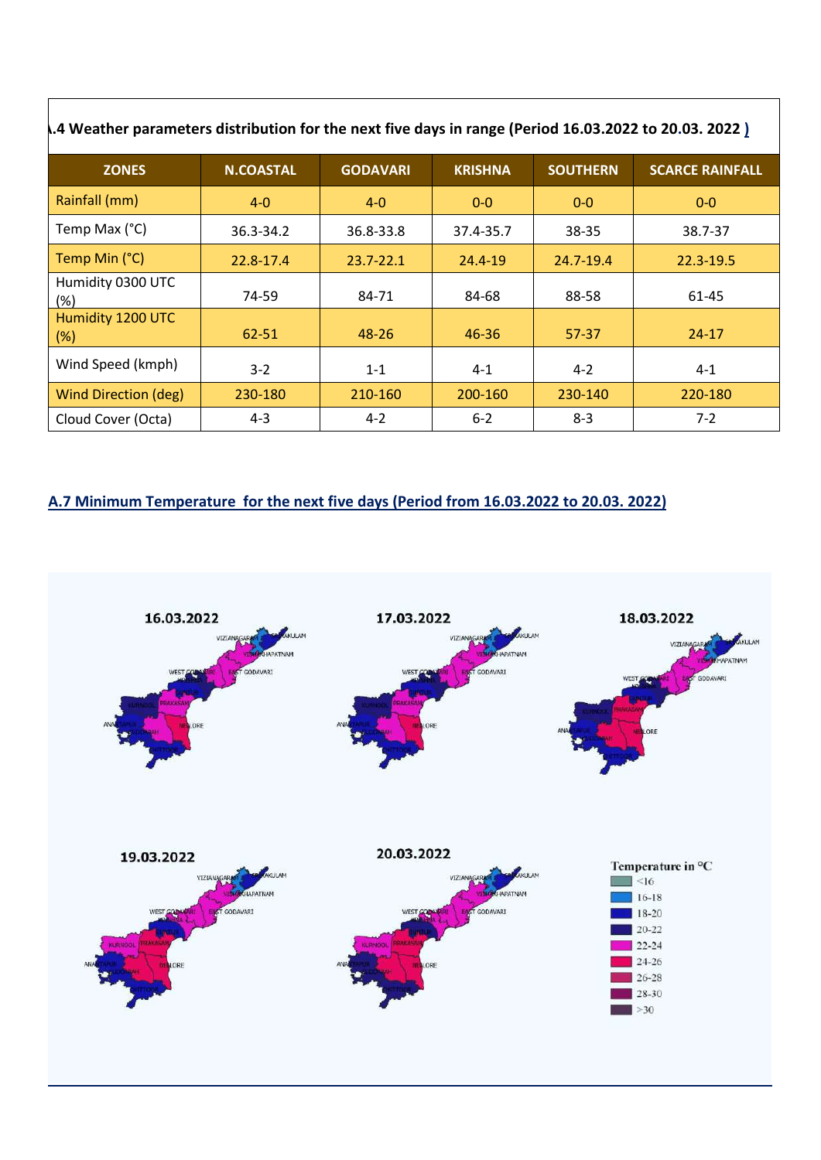| ).4 Weather parameters distribution for the next five days in range (Period 16.03.2022 to 20.03. 2022 ). |                  |                 |                |                 |                        |
|----------------------------------------------------------------------------------------------------------|------------------|-----------------|----------------|-----------------|------------------------|
| <b>ZONES</b>                                                                                             | <b>N.COASTAL</b> | <b>GODAVARI</b> | <b>KRISHNA</b> | <b>SOUTHERN</b> | <b>SCARCE RAINFALL</b> |
| Rainfall (mm)                                                                                            | $4 - 0$          | $4-0$           | $0-0$          | $0-0$           | $0-0$                  |
| Temp Max (°C)                                                                                            | 36.3-34.2        | 36.8-33.8       | 37.4-35.7      | 38-35           | 38.7-37                |
| Temp Min (°C)                                                                                            | 22.8-17.4        | $23.7 - 22.1$   | 24.4-19        | 24.7-19.4       | $22.3 - 19.5$          |
| Humidity 0300 UTC<br>(%)                                                                                 | 74-59            | 84-71           | 84-68          | 88-58           | 61-45                  |
| Humidity 1200 UTC<br>(%)                                                                                 | 62-51            | 48-26           | 46-36          | $57-37$         | $24 - 17$              |
| Wind Speed (kmph)                                                                                        | $3-2$            | $1 - 1$         | $4 - 1$        | $4 - 2$         | $4 - 1$                |
| <b>Wind Direction (deg)</b>                                                                              | 230-180          | 210-160         | 200-160        | 230-140         | 220-180                |
| Cloud Cover (Octa)                                                                                       | $4 - 3$          | $4 - 2$         | $6 - 2$        | $8-3$           | $7-2$                  |

## **A.7 Minimum Temperature for the next five days (Period from 16.03.2022 to 20.03. 2022)**

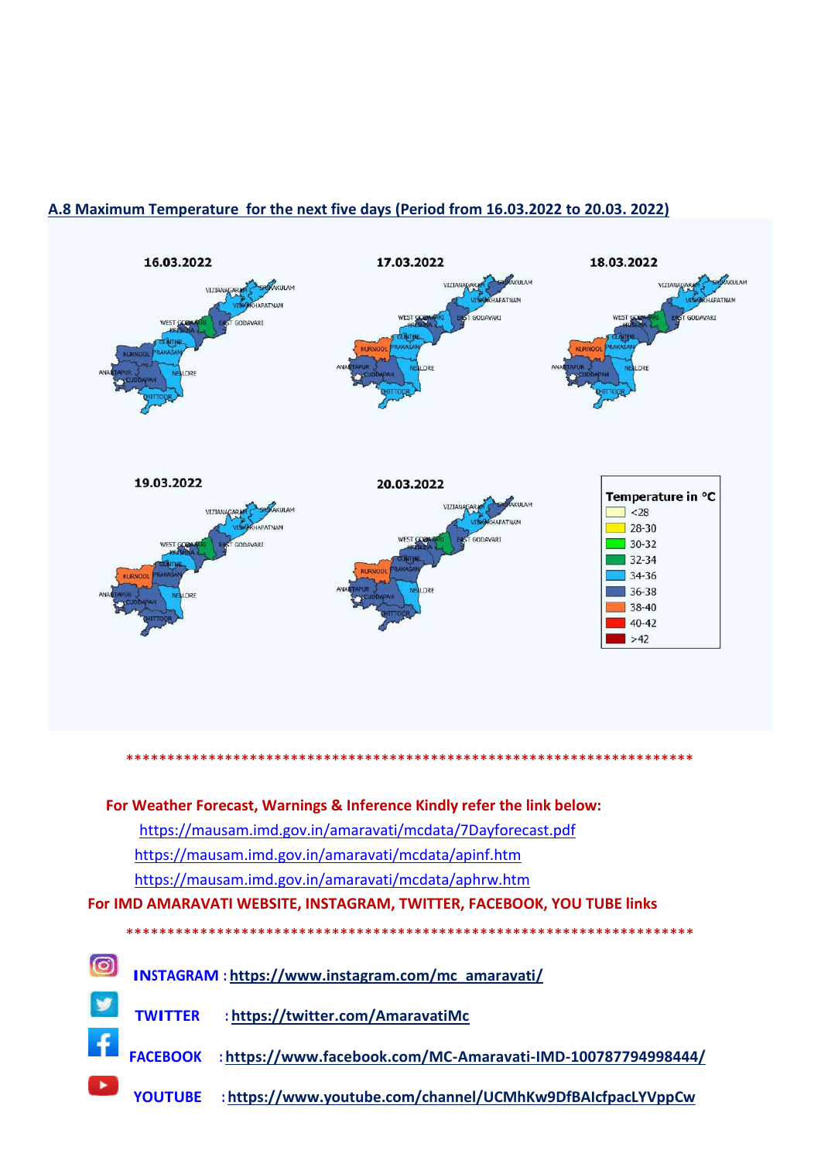#### **A.8 Maximum Temperature for the next five days (Period from 16.03.2022 to 20.03. 2022)**



 **TWITTER :<https://twitter.com/AmaravatiMc>**

 **FACEBOOK [: https://www.facebook.com/MC-Amaravati-IMD-100787794998444/](https://www.facebook.com/MC-Amaravati-IMD-100787794998444/)**

 **YOUTUBE [: https://www.youtube.com/channel/UCMhKw9DfBAIcfpacLYVppCw](https://www.youtube.com/channel/UCMhKw9DfBAIcfpacLYVppCw)**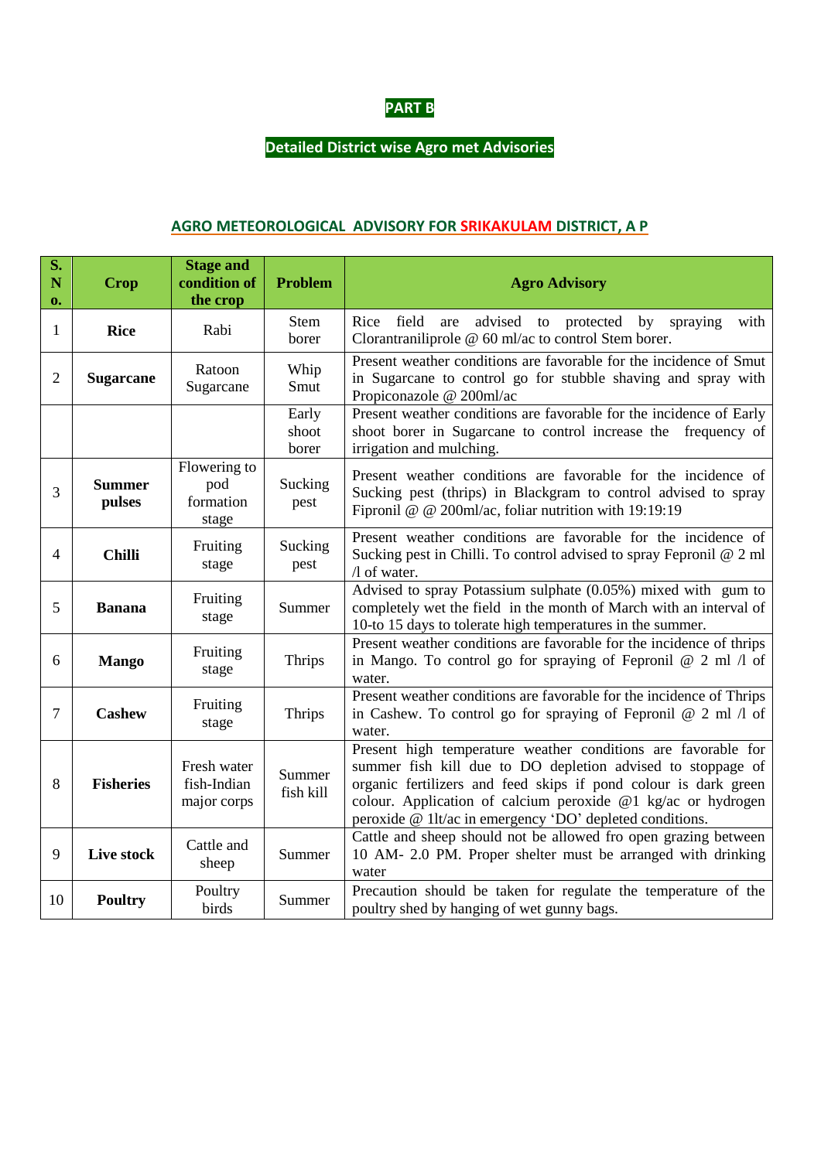

# **Detailed District wise Agro met Advisories**

#### **AGRO METEOROLOGICAL ADVISORY FOR SRIKAKULAM DISTRICT, A P**

| S.<br>N<br>0.  | <b>Crop</b>             | <b>Stage and</b><br>condition of<br>the crop | <b>Problem</b>          | <b>Agro Advisory</b>                                                                                                                                                                                                                                                                                                        |
|----------------|-------------------------|----------------------------------------------|-------------------------|-----------------------------------------------------------------------------------------------------------------------------------------------------------------------------------------------------------------------------------------------------------------------------------------------------------------------------|
| 1              | <b>Rice</b>             | Rabi                                         | <b>Stem</b><br>borer    | Rice<br>field<br>advised to protected by<br>are<br>spraying<br>with<br>Clorantraniliprole @ 60 ml/ac to control Stem borer.                                                                                                                                                                                                 |
| $\overline{2}$ | <b>Sugarcane</b>        | Ratoon<br>Sugarcane                          | Whip<br>Smut            | Present weather conditions are favorable for the incidence of Smut<br>in Sugarcane to control go for stubble shaving and spray with<br>Propiconazole @ 200ml/ac                                                                                                                                                             |
|                |                         |                                              | Early<br>shoot<br>borer | Present weather conditions are favorable for the incidence of Early<br>shoot borer in Sugarcane to control increase the frequency of<br>irrigation and mulching.                                                                                                                                                            |
| 3              | <b>Summer</b><br>pulses | Flowering to<br>pod<br>formation<br>stage    | Sucking<br>pest         | Present weather conditions are favorable for the incidence of<br>Sucking pest (thrips) in Blackgram to control advised to spray<br>Fipronil @ @ 200ml/ac, foliar nutrition with 19:19:19                                                                                                                                    |
| 4              | <b>Chilli</b>           | Fruiting<br>stage                            | Sucking<br>pest         | Present weather conditions are favorable for the incidence of<br>Sucking pest in Chilli. To control advised to spray Fepronil @ 2 ml<br>/l of water.                                                                                                                                                                        |
| 5              | <b>Banana</b>           | Fruiting<br>stage                            | Summer                  | Advised to spray Potassium sulphate (0.05%) mixed with gum to<br>completely wet the field in the month of March with an interval of<br>10-to 15 days to tolerate high temperatures in the summer.                                                                                                                           |
| 6              | <b>Mango</b>            | Fruiting<br>stage                            | Thrips                  | Present weather conditions are favorable for the incidence of thrips<br>in Mango. To control go for spraying of Fepronil $@$ 2 ml $/1$ of<br>water.                                                                                                                                                                         |
| $\overline{7}$ | <b>Cashew</b>           | Fruiting<br>stage                            | Thrips                  | Present weather conditions are favorable for the incidence of Thrips<br>in Cashew. To control go for spraying of Fepronil $@ 2$ ml $\Lambda$ of<br>water.                                                                                                                                                                   |
| 8              | <b>Fisheries</b>        | Fresh water<br>fish-Indian<br>major corps    | Summer<br>fish kill     | Present high temperature weather conditions are favorable for<br>summer fish kill due to DO depletion advised to stoppage of<br>organic fertilizers and feed skips if pond colour is dark green<br>colour. Application of calcium peroxide @1 kg/ac or hydrogen<br>peroxide @ 1lt/ac in emergency 'DO' depleted conditions. |
| 9              | Live stock              | Cattle and<br>sheep                          | Summer                  | Cattle and sheep should not be allowed fro open grazing between<br>10 AM- 2.0 PM. Proper shelter must be arranged with drinking<br>water                                                                                                                                                                                    |
| 10             | <b>Poultry</b>          | Poultry<br>birds                             | Summer                  | Precaution should be taken for regulate the temperature of the<br>poultry shed by hanging of wet gunny bags.                                                                                                                                                                                                                |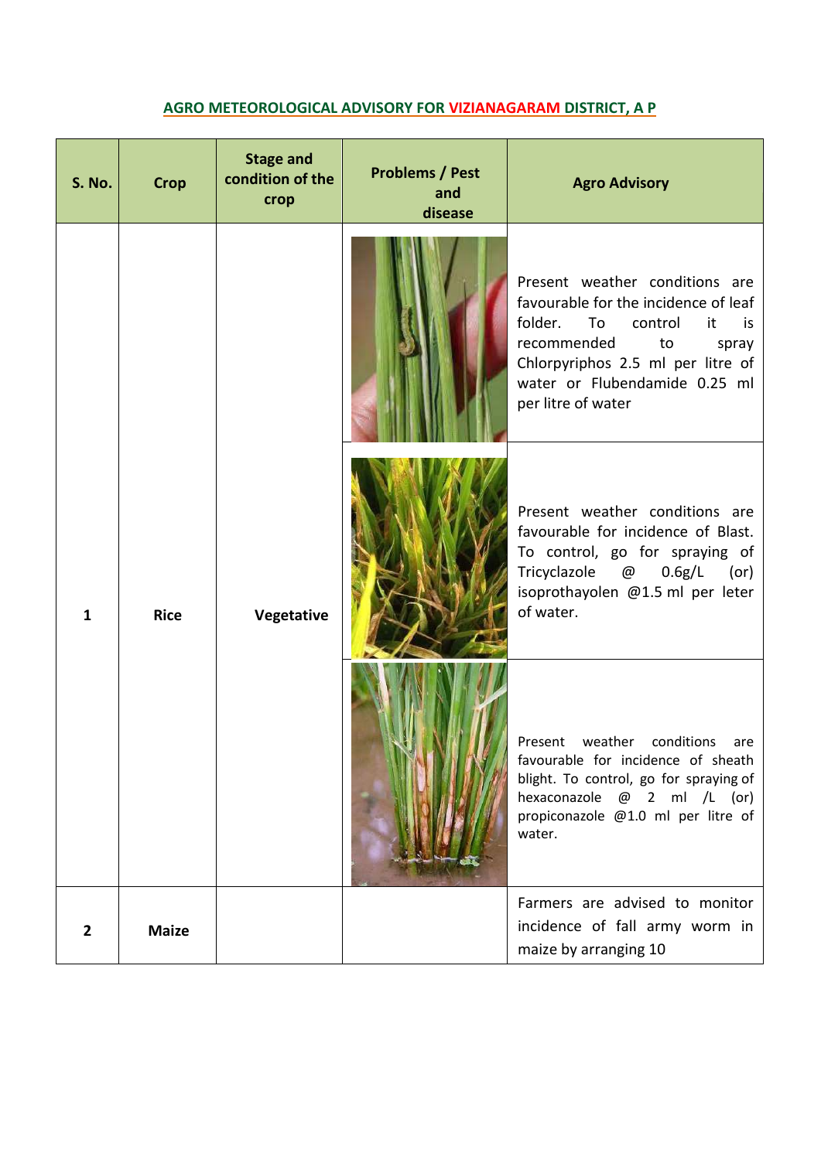## **AGRO METEOROLOGICAL ADVISORY FOR VIZIANAGARAM DISTRICT, A P**

| <b>S. No.</b> | <b>Crop</b>  | <b>Stage and</b><br>condition of the<br>crop | <b>Problems / Pest</b><br>and<br>disease | <b>Agro Advisory</b>                                                                                                                                                                                                                     |
|---------------|--------------|----------------------------------------------|------------------------------------------|------------------------------------------------------------------------------------------------------------------------------------------------------------------------------------------------------------------------------------------|
|               |              |                                              |                                          | Present weather conditions are<br>favourable for the incidence of leaf<br>folder.<br>To<br>control<br>it<br>is<br>recommended<br>to<br>spray<br>Chlorpyriphos 2.5 ml per litre of<br>water or Flubendamide 0.25 ml<br>per litre of water |
| $\mathbf{1}$  | <b>Rice</b>  | Vegetative                                   |                                          | Present weather conditions are<br>favourable for incidence of Blast.<br>To control, go for spraying of<br>Tricyclazole @<br>0.6g/L<br>(or)<br>isoprothayolen @1.5 ml per leter<br>of water.                                              |
|               |              |                                              |                                          | weather conditions<br>Present<br>are<br>favourable for incidence of sheath<br>blight. To control, go for spraying of<br>hexaconazole @ 2 ml /L (or)<br>propiconazole @1.0 ml per litre of<br>water.                                      |
| $\mathbf{2}$  | <b>Maize</b> |                                              |                                          | Farmers are advised to monitor<br>incidence of fall army worm in<br>maize by arranging 10                                                                                                                                                |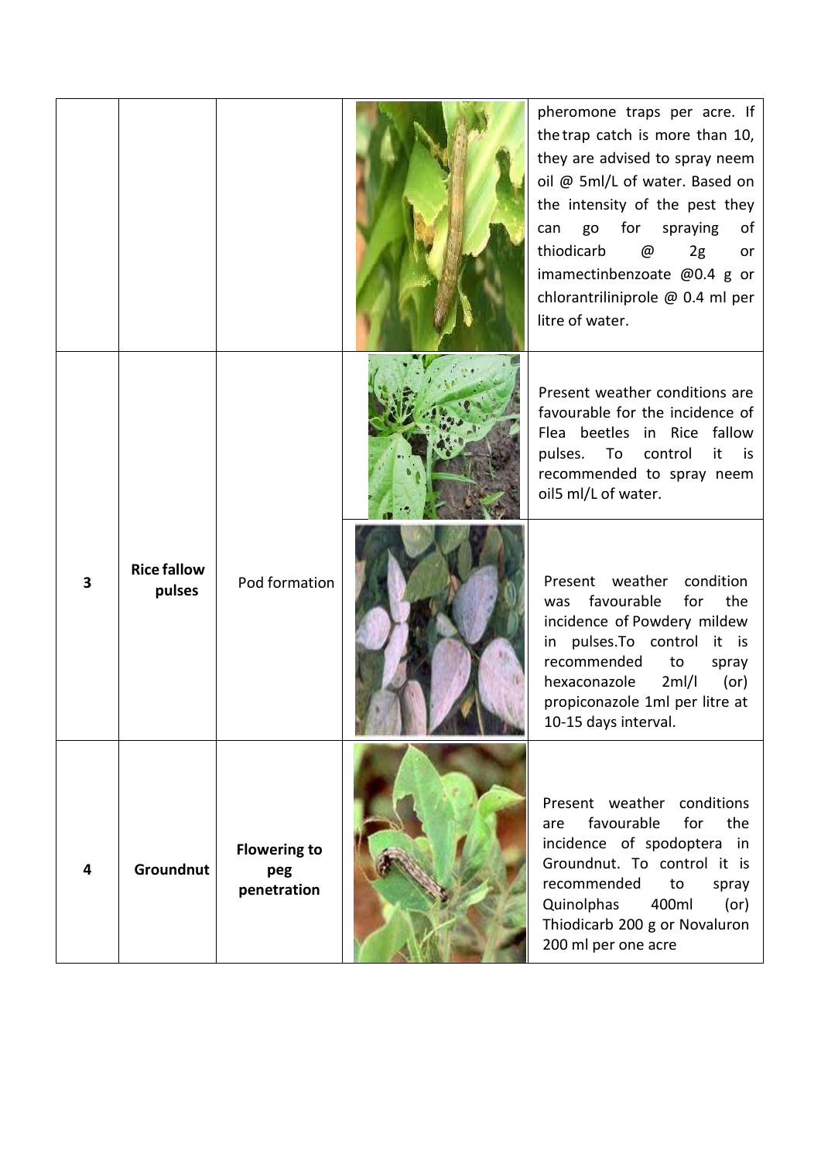|                         |                              |                                           | pheromone traps per acre. If<br>the trap catch is more than 10,<br>they are advised to spray neem<br>oil @ 5ml/L of water. Based on<br>the intensity of the pest they<br>for<br>go<br>spraying<br>can<br>of<br>thiodicarb<br>@<br>2g<br>or<br>imamectinbenzoate @0.4 g or<br>chlorantriliniprole @ 0.4 ml per<br>litre of water. |
|-------------------------|------------------------------|-------------------------------------------|----------------------------------------------------------------------------------------------------------------------------------------------------------------------------------------------------------------------------------------------------------------------------------------------------------------------------------|
|                         |                              |                                           | Present weather conditions are<br>favourable for the incidence of<br>Flea beetles in Rice fallow<br>pulses. To control<br>it is<br>recommended to spray neem<br>oil5 ml/L of water.                                                                                                                                              |
| $\overline{\mathbf{3}}$ | <b>Rice fallow</b><br>pulses | Pod formation                             | Present weather<br>condition<br>favourable<br>the<br>for<br>was<br>incidence of Powdery mildew<br>in pulses. To control it is<br>recommended<br>to<br>spray<br>hexaconazole<br>2ml/l<br>$($ or $)$<br>propiconazole 1ml per litre at<br>10-15 days interval.                                                                     |
| $\overline{\mathbf{4}}$ | Groundnut                    | <b>Flowering to</b><br>peg<br>penetration | Present weather conditions<br>favourable<br>the<br>for<br>are<br>incidence of spodoptera in<br>Groundnut. To control it is<br>recommended<br>to<br>spray<br>400ml<br>Quinolphas<br>(or)<br>Thiodicarb 200 g or Novaluron<br>200 ml per one acre                                                                                  |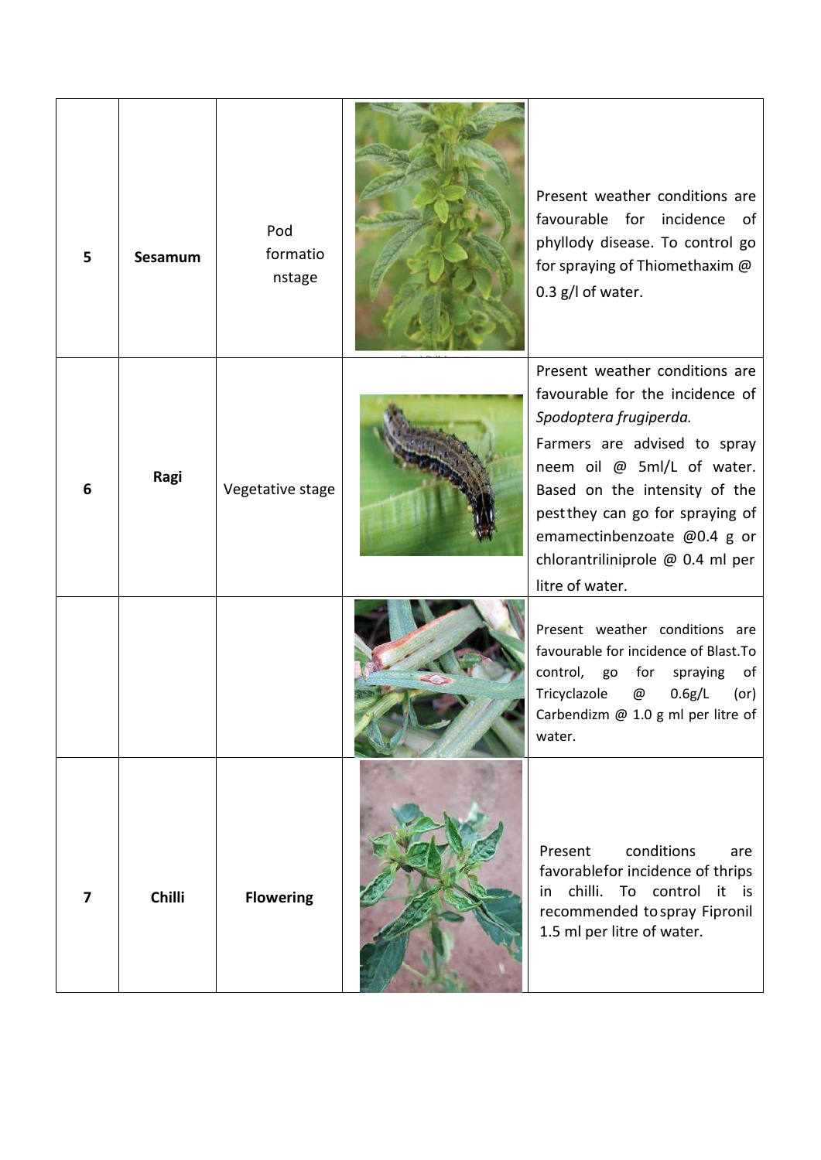| 5                       | Sesamum | Pod<br>formatio<br>nstage | Present weather conditions are<br>favourable for incidence<br>of<br>phyllody disease. To control go<br>for spraying of Thiomethaxim @<br>0.3 g/l of water.                                                                                                                                                           |
|-------------------------|---------|---------------------------|----------------------------------------------------------------------------------------------------------------------------------------------------------------------------------------------------------------------------------------------------------------------------------------------------------------------|
| 6                       | Ragi    | Vegetative stage          | Present weather conditions are<br>favourable for the incidence of<br>Spodoptera frugiperda.<br>Farmers are advised to spray<br>neem oil @ 5ml/L of water.<br>Based on the intensity of the<br>pest they can go for spraying of<br>emamectinbenzoate @0.4 g or<br>chlorantriliniprole @ 0.4 ml per<br>litre of water. |
|                         |         |                           | Present weather conditions are<br>favourable for incidence of Blast.To<br>control, go<br>for<br>spraying<br>of<br>0.6g/L<br>Tricyclazole<br>@<br>(or)<br>Carbendizm @ 1.0 g ml per litre of<br>water.                                                                                                                |
| $\overline{\mathbf{z}}$ | Chilli  | <b>Flowering</b>          | conditions<br>Present<br>are<br>favorablefor incidence of thrips<br>in chilli. To control it is<br>recommended to spray Fipronil<br>1.5 ml per litre of water.                                                                                                                                                       |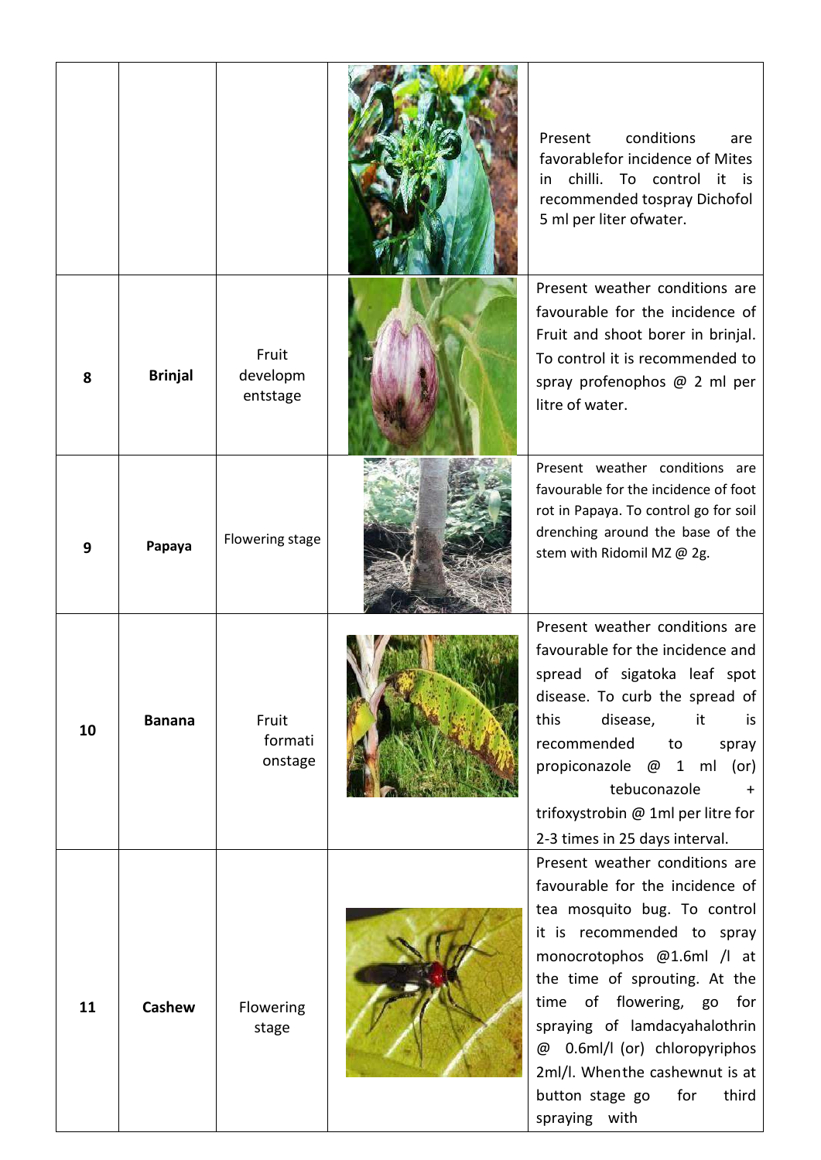|    |                |                               | conditions<br>Present<br>are<br>favorablefor incidence of Mites<br>chilli.<br>To<br>control<br>it is<br>in<br>recommended tospray Dichofol<br>5 ml per liter ofwater.                                                                                                                                                                                                                     |
|----|----------------|-------------------------------|-------------------------------------------------------------------------------------------------------------------------------------------------------------------------------------------------------------------------------------------------------------------------------------------------------------------------------------------------------------------------------------------|
| 8  | <b>Brinjal</b> | Fruit<br>developm<br>entstage | Present weather conditions are<br>favourable for the incidence of<br>Fruit and shoot borer in brinjal.<br>To control it is recommended to<br>spray profenophos @ 2 ml per<br>litre of water.                                                                                                                                                                                              |
| 9  | Papaya         | Flowering stage               | Present weather conditions are<br>favourable for the incidence of foot<br>rot in Papaya. To control go for soil<br>drenching around the base of the<br>stem with Ridomil MZ @ 2g.                                                                                                                                                                                                         |
| 10 | <b>Banana</b>  | Fruit<br>formati<br>onstage   | Present weather conditions are<br>favourable for the incidence and<br>spread of sigatoka leaf spot<br>disease. To curb the spread of<br>disease,<br>this<br>it<br>is<br>recommended<br>to<br>spray<br>propiconazole @ 1 ml (or)<br>tebuconazole<br>trifoxystrobin @ 1ml per litre for<br>2-3 times in 25 days interval.                                                                   |
| 11 | Cashew         | Flowering<br>stage            | Present weather conditions are<br>favourable for the incidence of<br>tea mosquito bug. To control<br>it is recommended to spray<br>monocrotophos @1.6ml /l at<br>the time of sprouting. At the<br>of flowering, go for<br>time<br>spraying of lamdacyahalothrin<br>0.6ml/l (or) chloropyriphos<br>@<br>2ml/l. Whenthe cashewnut is at<br>button stage go<br>for<br>third<br>spraying with |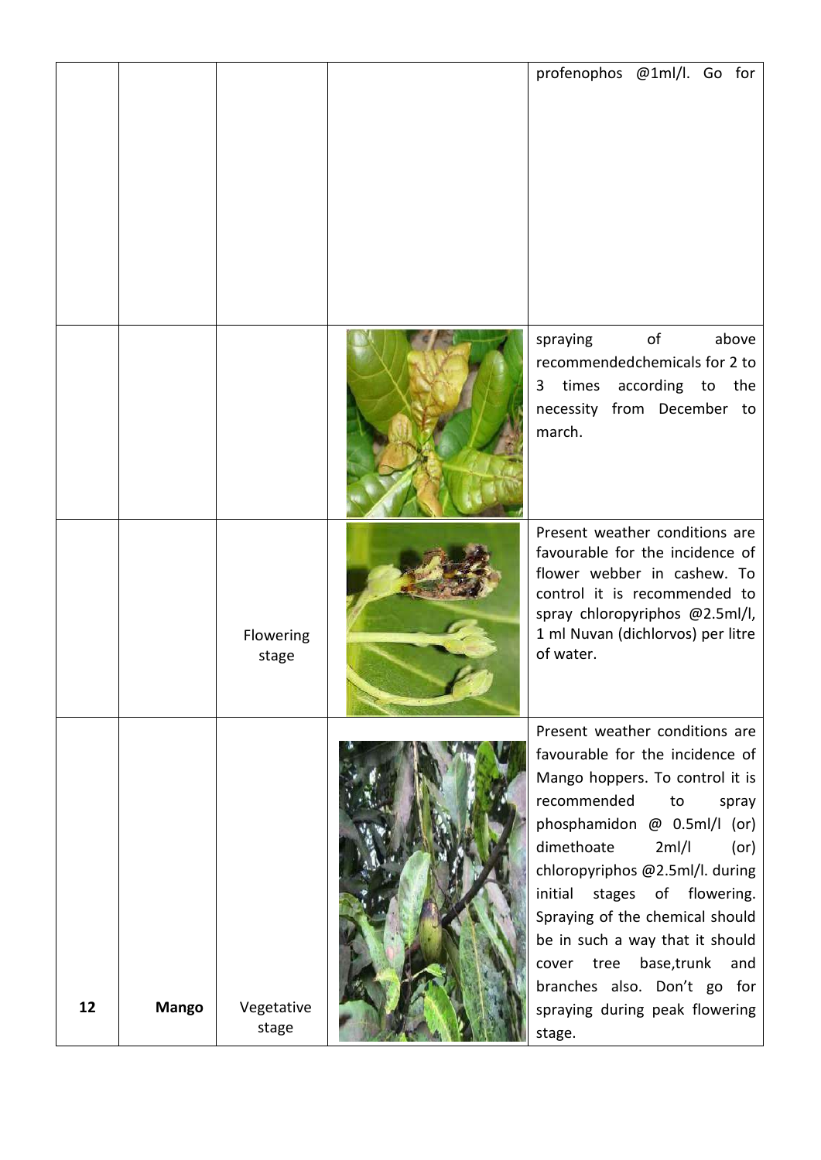|    |              |                     | profenophos @1ml/l. Go for                                                                                                                                                                                                                                                                                                                                                                                                                                  |
|----|--------------|---------------------|-------------------------------------------------------------------------------------------------------------------------------------------------------------------------------------------------------------------------------------------------------------------------------------------------------------------------------------------------------------------------------------------------------------------------------------------------------------|
|    |              |                     | $\mathsf{of}$<br>above<br>spraying<br>recommendedchemicals for 2 to<br>times according to the<br>3<br>necessity from December to<br>march.                                                                                                                                                                                                                                                                                                                  |
|    |              | Flowering<br>stage  | Present weather conditions are<br>favourable for the incidence of<br>flower webber in cashew. To<br>control it is recommended to<br>spray chloropyriphos @2.5ml/l,<br>1 ml Nuvan (dichlorvos) per litre<br>of water.                                                                                                                                                                                                                                        |
| 12 | <b>Mango</b> | Vegetative<br>stage | Present weather conditions are<br>favourable for the incidence of<br>Mango hoppers. To control it is<br>recommended<br>to<br>spray<br>phosphamidon @ 0.5ml/l (or)<br>dimethoate<br>2ml/l<br>(or)<br>chloropyriphos @2.5ml/l. during<br>initial stages of flowering.<br>Spraying of the chemical should<br>be in such a way that it should<br>tree<br>base, trunk<br>and<br>cover<br>branches also. Don't go for<br>spraying during peak flowering<br>stage. |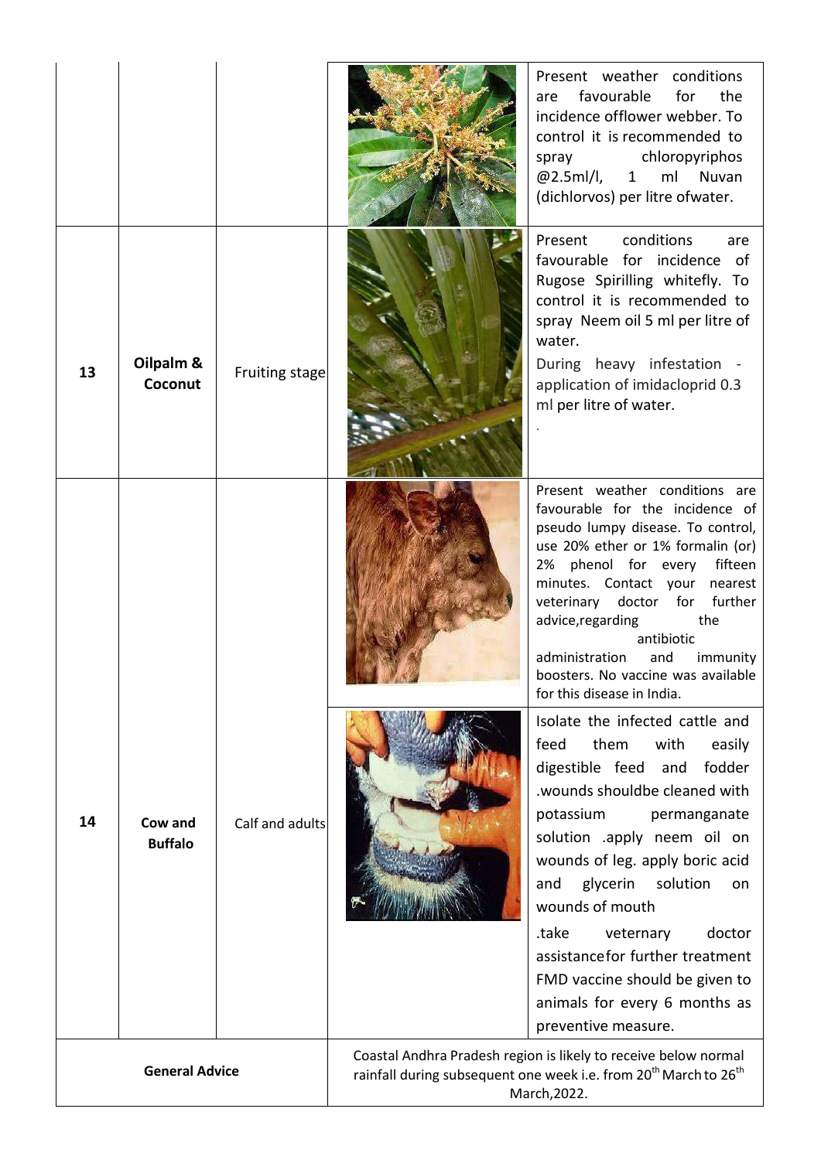|                       |                           |                                                                                                                                                                             |  | Present weather conditions<br>favourable<br>for<br>the<br>are<br>incidence offlower webber. To<br>control it is recommended to<br>chloropyriphos<br>spray<br>@2.5ml/l,<br>ml<br>Nuvan<br>$1 \quad$<br>(dichlorvos) per litre ofwater.                                                                                                                                                                                                                     |
|-----------------------|---------------------------|-----------------------------------------------------------------------------------------------------------------------------------------------------------------------------|--|-----------------------------------------------------------------------------------------------------------------------------------------------------------------------------------------------------------------------------------------------------------------------------------------------------------------------------------------------------------------------------------------------------------------------------------------------------------|
| 13                    | Oilpalm &<br>Coconut      | Fruiting stage                                                                                                                                                              |  | conditions<br>Present<br>are<br>favourable for incidence of<br>Rugose Spirilling whitefly. To<br>control it is recommended to<br>spray Neem oil 5 ml per litre of<br>water.<br>During heavy infestation -<br>application of imidacloprid 0.3<br>ml per litre of water.                                                                                                                                                                                    |
|                       |                           |                                                                                                                                                                             |  | Present weather conditions are<br>favourable for the incidence of<br>pseudo lumpy disease. To control,<br>use 20% ether or 1% formalin (or)<br>2% phenol for every<br>fifteen<br>minutes. Contact your nearest<br>doctor for further<br>veterinary<br>advice, regarding<br>the<br>antibiotic<br>administration<br>and<br>immunity<br>boosters. No vaccine was available<br>for this disease in India.                                                     |
| 14                    | Cow and<br><b>Buffalo</b> | Calf and adults                                                                                                                                                             |  | Isolate the infected cattle and<br>feed<br>them<br>with<br>easily<br>digestible feed<br>fodder<br>and<br>wounds shouldbe cleaned with<br>potassium<br>permanganate<br>solution .apply neem oil on<br>wounds of leg. apply boric acid<br>glycerin<br>solution<br>and<br>on<br>wounds of mouth<br>.take<br>veternary<br>doctor<br>assistancefor further treatment<br>FMD vaccine should be given to<br>animals for every 6 months as<br>preventive measure. |
| <b>General Advice</b> |                           | Coastal Andhra Pradesh region is likely to receive below normal<br>rainfall during subsequent one week i.e. from 20 <sup>th</sup> March to 26 <sup>th</sup><br>March, 2022. |  |                                                                                                                                                                                                                                                                                                                                                                                                                                                           |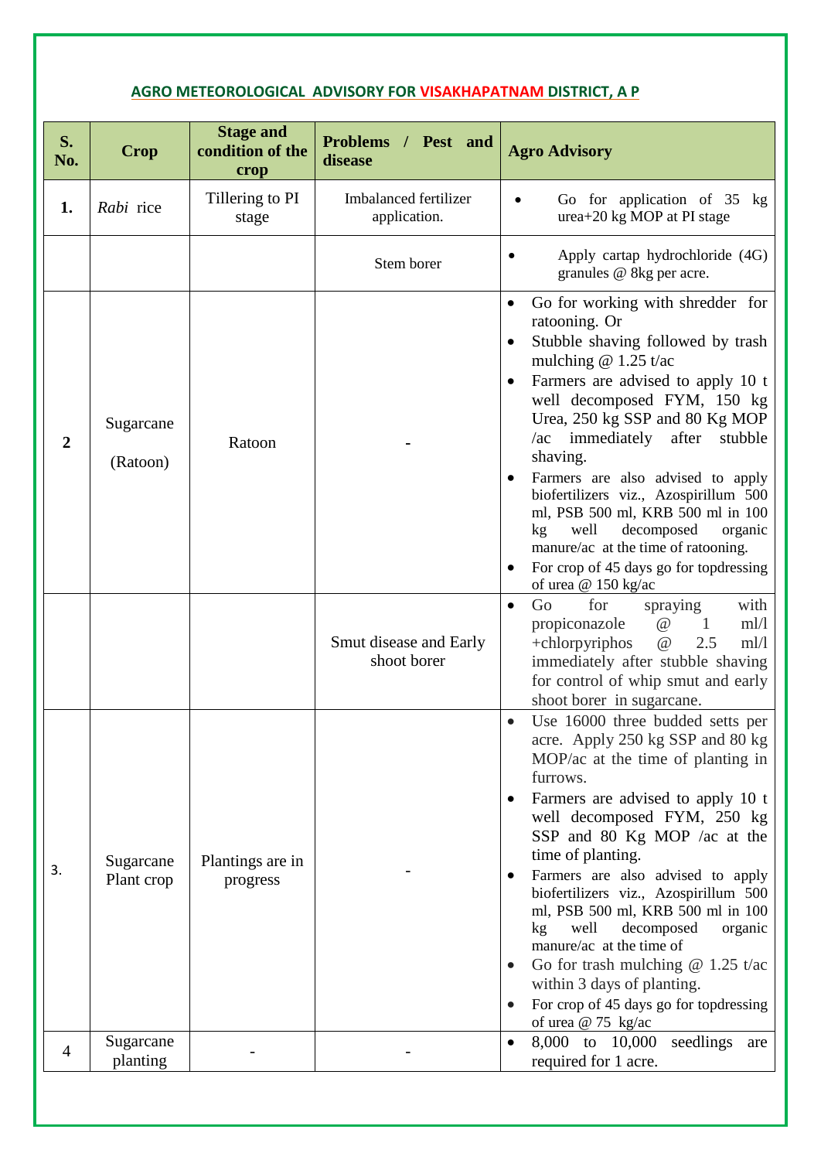## **AGRO METEOROLOGICAL ADVISORY FOR VISAKHAPATNAM DISTRICT, A P**

| S.<br>No.        | Crop                    | <b>Stage and</b><br>condition of the<br>crop | Problems / Pest and<br>disease        | <b>Agro Advisory</b>                                                                                                                                                                                                                                                                                                                                                                                                                                                                                                                                                                  |
|------------------|-------------------------|----------------------------------------------|---------------------------------------|---------------------------------------------------------------------------------------------------------------------------------------------------------------------------------------------------------------------------------------------------------------------------------------------------------------------------------------------------------------------------------------------------------------------------------------------------------------------------------------------------------------------------------------------------------------------------------------|
| 1.               | Rabi rice               | Tillering to PI<br>stage                     | Imbalanced fertilizer<br>application. | Go for application of 35 kg<br>$\bullet$<br>$urea+20$ kg MOP at PI stage                                                                                                                                                                                                                                                                                                                                                                                                                                                                                                              |
|                  |                         |                                              | Stem borer                            | Apply cartap hydrochloride (4G)<br>granules @ 8kg per acre.                                                                                                                                                                                                                                                                                                                                                                                                                                                                                                                           |
| $\boldsymbol{2}$ | Sugarcane<br>(Ratoon)   | Ratoon                                       |                                       | Go for working with shredder for<br>ratooning. Or<br>Stubble shaving followed by trash<br>mulching $@1.25$ t/ac<br>Farmers are advised to apply 10 t<br>well decomposed FYM, 150 kg<br>Urea, 250 kg SSP and 80 Kg MOP<br>/ac immediately after<br>stubble<br>shaving.<br>Farmers are also advised to apply<br>biofertilizers viz., Azospirillum 500<br>ml, PSB 500 ml, KRB 500 ml in 100<br>well<br>decomposed<br>kg<br>organic<br>manure/ac at the time of ratooning.<br>For crop of 45 days go for top dressing<br>of urea @ 150 kg/ac                                              |
|                  |                         |                                              | Smut disease and Early<br>shoot borer | Go<br>for<br>spraying<br>with<br>$\bullet$<br>$\omega$<br>propiconazole<br>m!/l<br>1<br>$+$ chlorpyriphos<br>$\omega$<br>2.5<br>m!/l<br>immediately after stubble shaving<br>for control of whip smut and early<br>shoot borer in sugarcane.                                                                                                                                                                                                                                                                                                                                          |
| 3.               | Sugarcane<br>Plant crop | Plantings are in<br>progress                 |                                       | Use 16000 three budded setts per<br>acre. Apply 250 kg SSP and 80 kg<br>MOP/ac at the time of planting in<br>furrows.<br>Farmers are advised to apply 10 t<br>well decomposed FYM, 250 kg<br>SSP and 80 Kg MOP /ac at the<br>time of planting.<br>Farmers are also advised to apply<br>biofertilizers viz., Azospirillum 500<br>ml, PSB 500 ml, KRB 500 ml in 100<br>well<br>decomposed<br>kg <sub>2</sub><br>organic<br>manure/ac at the time of<br>Go for trash mulching $@1.25$ t/ac<br>within 3 days of planting.<br>For crop of 45 days go for topdressing<br>of urea @ 75 kg/ac |
| $\overline{4}$   | Sugarcane<br>planting   |                                              |                                       | 8,000 to 10,000<br>seedlings<br>are<br>required for 1 acre.                                                                                                                                                                                                                                                                                                                                                                                                                                                                                                                           |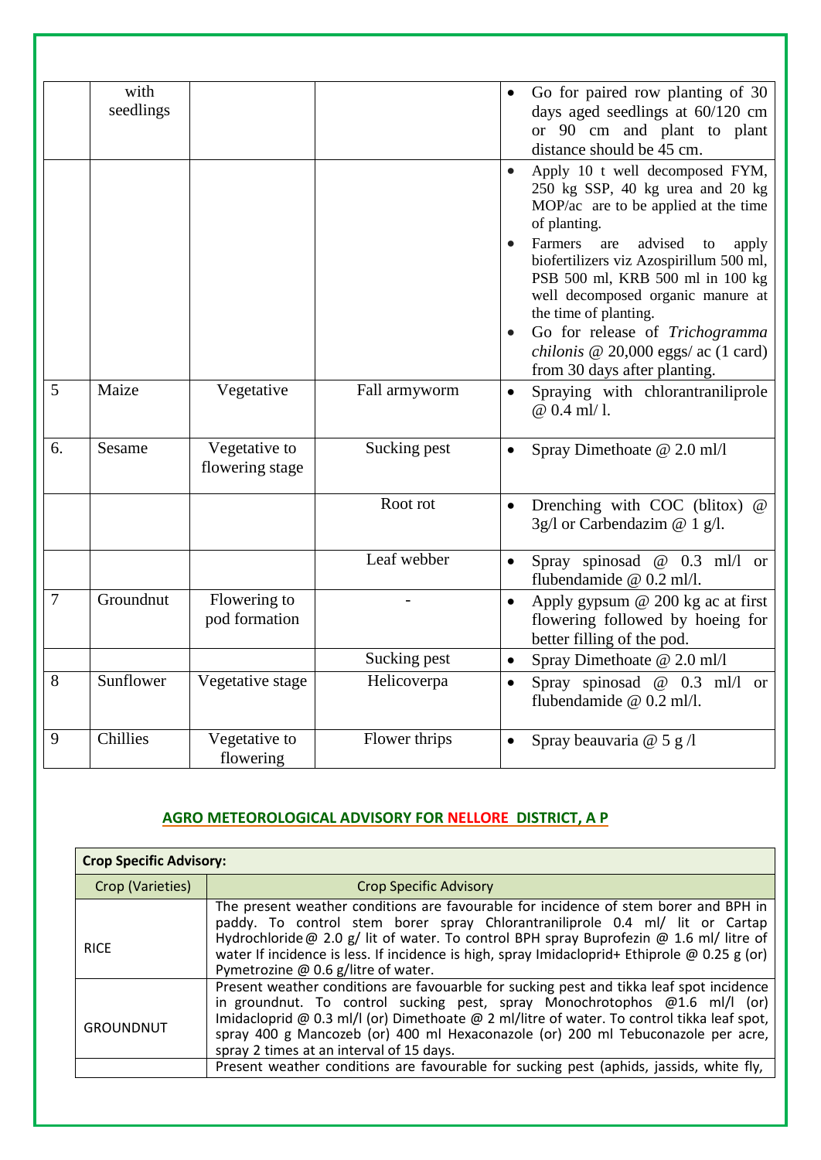|                  | with<br>seedlings |                                  |               |           | Go for paired row planting of 30<br>days aged seedlings at 60/120 cm<br>or 90 cm and plant to plant<br>distance should be 45 cm.                                                              |
|------------------|-------------------|----------------------------------|---------------|-----------|-----------------------------------------------------------------------------------------------------------------------------------------------------------------------------------------------|
|                  |                   |                                  |               | $\bullet$ | Apply 10 t well decomposed FYM,<br>250 kg SSP, 40 kg urea and 20 kg<br>MOP/ac are to be applied at the time<br>of planting.                                                                   |
|                  |                   |                                  |               |           | Farmers<br>advised<br>are<br>${\rm to}$<br>apply<br>biofertilizers viz Azospirillum 500 ml,<br>PSB 500 ml, KRB 500 ml in 100 kg<br>well decomposed organic manure at<br>the time of planting. |
|                  |                   |                                  |               |           | Go for release of Trichogramma<br>chilonis @ 20,000 eggs/ ac $(1 \text{ card})$<br>from 30 days after planting.                                                                               |
| 5                | Maize             | Vegetative                       | Fall armyworm | $\bullet$ | Spraying with chlorantraniliprole<br>$@0.4$ ml/1.                                                                                                                                             |
| 6.               | Sesame            | Vegetative to<br>flowering stage | Sucking pest  | $\bullet$ | Spray Dimethoate @ 2.0 ml/l                                                                                                                                                                   |
|                  |                   |                                  | Root rot      |           | Drenching with COC (blitox) @<br>3g/l or Carbendazim $@ 1 g/l$ .                                                                                                                              |
|                  |                   |                                  | Leaf webber   |           | Spray spinosad $@$ 0.3 ml/l or<br>flubendamide @ 0.2 ml/l.                                                                                                                                    |
| $\boldsymbol{7}$ | Groundnut         | Flowering to<br>pod formation    |               | $\bullet$ | Apply gypsum @ 200 kg ac at first<br>flowering followed by hoeing for<br>better filling of the pod.                                                                                           |
|                  |                   |                                  | Sucking pest  | $\bullet$ | Spray Dimethoate @ 2.0 ml/l                                                                                                                                                                   |
| 8                | Sunflower         | Vegetative stage                 | Helicoverpa   | $\bullet$ | Spray spinosad $@$ 0.3 ml/l or<br>flubendamide @ 0.2 ml/l.                                                                                                                                    |
| 9                | Chillies          | Vegetative to<br>flowering       | Flower thrips |           | Spray beauvaria $@$ 5 g /l                                                                                                                                                                    |

## **AGRO METEOROLOGICAL ADVISORY FOR NELLORE DISTRICT, A P**

| <b>Crop Specific Advisory:</b> |                                                                                                                                                                                                                                                                                                                                                                                                              |  |  |
|--------------------------------|--------------------------------------------------------------------------------------------------------------------------------------------------------------------------------------------------------------------------------------------------------------------------------------------------------------------------------------------------------------------------------------------------------------|--|--|
| Crop (Varieties)               | <b>Crop Specific Advisory</b>                                                                                                                                                                                                                                                                                                                                                                                |  |  |
| <b>RICE</b>                    | The present weather conditions are favourable for incidence of stem borer and BPH in<br>paddy. To control stem borer spray Chlorantraniliprole 0.4 ml/ lit or Cartap<br>Hydrochloride @ 2.0 g/ lit of water. To control BPH spray Buprofezin @ 1.6 ml/ litre of<br>water If incidence is less. If incidence is high, spray Imidacloprid+ Ethiprole @ 0.25 g (or)<br>Pymetrozine $@$ 0.6 g/litre of water.    |  |  |
| GROUNDNUT                      | Present weather conditions are favouarble for sucking pest and tikka leaf spot incidence<br>in groundnut. To control sucking pest, spray Monochrotophos $\omega$ 1.6 ml/l (or)<br>Imidacloprid @ 0.3 ml/l (or) Dimethoate @ 2 ml/litre of water. To control tikka leaf spot,<br>spray 400 g Mancozeb (or) 400 ml Hexaconazole (or) 200 ml Tebuconazole per acre,<br>spray 2 times at an interval of 15 days. |  |  |
|                                | Present weather conditions are favourable for sucking pest (aphids, jassids, white fly,                                                                                                                                                                                                                                                                                                                      |  |  |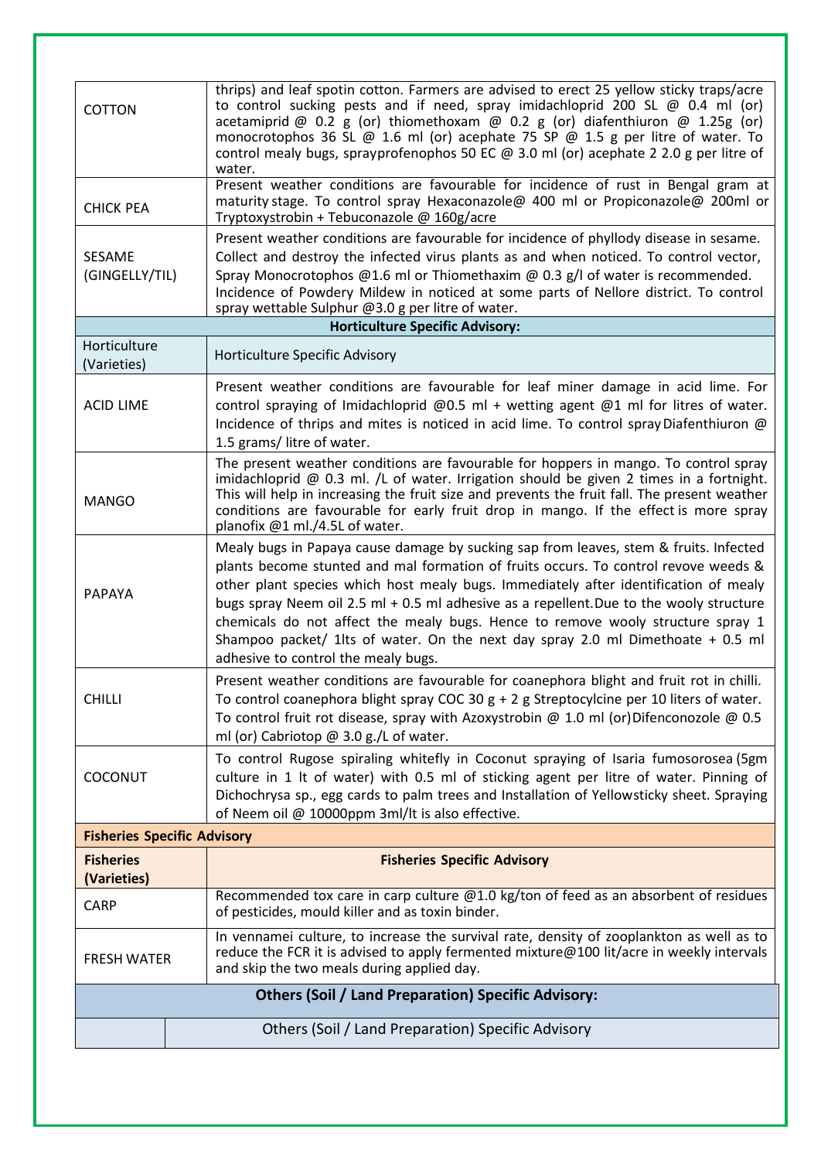| water.<br>Present weather conditions are favourable for incidence of rust in Bengal gram at<br>maturity stage. To control spray Hexaconazole@ 400 ml or Propiconazole@ 200ml or<br><b>CHICK PEA</b><br>Tryptoxystrobin + Tebuconazole @ 160g/acre<br>Present weather conditions are favourable for incidence of phyllody disease in sesame.<br>Collect and destroy the infected virus plants as and when noticed. To control vector,<br><b>SESAME</b><br>Spray Monocrotophos @1.6 ml or Thiomethaxim @ 0.3 g/l of water is recommended.<br>(GINGELLY/TIL)<br>Incidence of Powdery Mildew in noticed at some parts of Nellore district. To control<br>spray wettable Sulphur @3.0 g per litre of water.<br><b>Horticulture Specific Advisory:</b><br>Horticulture<br>Horticulture Specific Advisory<br>(Varieties)<br>Present weather conditions are favourable for leaf miner damage in acid lime. For<br>control spraying of Imidachloprid @0.5 ml + wetting agent @1 ml for litres of water.<br><b>ACID LIME</b><br>Incidence of thrips and mites is noticed in acid lime. To control spray Diafenthiuron @<br>1.5 grams/ litre of water.<br>The present weather conditions are favourable for hoppers in mango. To control spray<br>imidachloprid $@$ 0.3 ml. /L of water. Irrigation should be given 2 times in a fortnight.<br>This will help in increasing the fruit size and prevents the fruit fall. The present weather<br><b>MANGO</b><br>conditions are favourable for early fruit drop in mango. If the effect is more spray<br>planofix @1 ml./4.5L of water.<br>Mealy bugs in Papaya cause damage by sucking sap from leaves, stem & fruits. Infected<br>plants become stunted and mal formation of fruits occurs. To control revove weeds &<br>other plant species which host mealy bugs. Immediately after identification of mealy<br><b>PAPAYA</b><br>bugs spray Neem oil 2.5 ml + 0.5 ml adhesive as a repellent. Due to the wooly structure<br>chemicals do not affect the mealy bugs. Hence to remove wooly structure spray 1<br>Shampoo packet/ 1lts of water. On the next day spray 2.0 ml Dimethoate + 0.5 ml<br>adhesive to control the mealy bugs.<br>Present weather conditions are favourable for coanephora blight and fruit rot in chilli.<br><b>CHILLI</b><br>To control coanephora blight spray COC 30 $g + 2 g$ Streptocylcine per 10 liters of water.<br>To control fruit rot disease, spray with Azoxystrobin @ 1.0 ml (or)Difenconozole @ 0.5<br>ml (or) Cabriotop @ 3.0 g./L of water.<br>To control Rugose spiraling whitefly in Coconut spraying of Isaria fumosorosea (5gm |  |  |  |
|-------------------------------------------------------------------------------------------------------------------------------------------------------------------------------------------------------------------------------------------------------------------------------------------------------------------------------------------------------------------------------------------------------------------------------------------------------------------------------------------------------------------------------------------------------------------------------------------------------------------------------------------------------------------------------------------------------------------------------------------------------------------------------------------------------------------------------------------------------------------------------------------------------------------------------------------------------------------------------------------------------------------------------------------------------------------------------------------------------------------------------------------------------------------------------------------------------------------------------------------------------------------------------------------------------------------------------------------------------------------------------------------------------------------------------------------------------------------------------------------------------------------------------------------------------------------------------------------------------------------------------------------------------------------------------------------------------------------------------------------------------------------------------------------------------------------------------------------------------------------------------------------------------------------------------------------------------------------------------------------------------------------------------------------------------------------------------------------------------------------------------------------------------------------------------------------------------------------------------------------------------------------------------------------------------------------------------------------------------------------------------------------------------------------------------------------------------------------------------------------------------------------------------------------------------------------------------------------------------------------|--|--|--|
|                                                                                                                                                                                                                                                                                                                                                                                                                                                                                                                                                                                                                                                                                                                                                                                                                                                                                                                                                                                                                                                                                                                                                                                                                                                                                                                                                                                                                                                                                                                                                                                                                                                                                                                                                                                                                                                                                                                                                                                                                                                                                                                                                                                                                                                                                                                                                                                                                                                                                                                                                                                                                   |  |  |  |
|                                                                                                                                                                                                                                                                                                                                                                                                                                                                                                                                                                                                                                                                                                                                                                                                                                                                                                                                                                                                                                                                                                                                                                                                                                                                                                                                                                                                                                                                                                                                                                                                                                                                                                                                                                                                                                                                                                                                                                                                                                                                                                                                                                                                                                                                                                                                                                                                                                                                                                                                                                                                                   |  |  |  |
|                                                                                                                                                                                                                                                                                                                                                                                                                                                                                                                                                                                                                                                                                                                                                                                                                                                                                                                                                                                                                                                                                                                                                                                                                                                                                                                                                                                                                                                                                                                                                                                                                                                                                                                                                                                                                                                                                                                                                                                                                                                                                                                                                                                                                                                                                                                                                                                                                                                                                                                                                                                                                   |  |  |  |
|                                                                                                                                                                                                                                                                                                                                                                                                                                                                                                                                                                                                                                                                                                                                                                                                                                                                                                                                                                                                                                                                                                                                                                                                                                                                                                                                                                                                                                                                                                                                                                                                                                                                                                                                                                                                                                                                                                                                                                                                                                                                                                                                                                                                                                                                                                                                                                                                                                                                                                                                                                                                                   |  |  |  |
|                                                                                                                                                                                                                                                                                                                                                                                                                                                                                                                                                                                                                                                                                                                                                                                                                                                                                                                                                                                                                                                                                                                                                                                                                                                                                                                                                                                                                                                                                                                                                                                                                                                                                                                                                                                                                                                                                                                                                                                                                                                                                                                                                                                                                                                                                                                                                                                                                                                                                                                                                                                                                   |  |  |  |
|                                                                                                                                                                                                                                                                                                                                                                                                                                                                                                                                                                                                                                                                                                                                                                                                                                                                                                                                                                                                                                                                                                                                                                                                                                                                                                                                                                                                                                                                                                                                                                                                                                                                                                                                                                                                                                                                                                                                                                                                                                                                                                                                                                                                                                                                                                                                                                                                                                                                                                                                                                                                                   |  |  |  |
|                                                                                                                                                                                                                                                                                                                                                                                                                                                                                                                                                                                                                                                                                                                                                                                                                                                                                                                                                                                                                                                                                                                                                                                                                                                                                                                                                                                                                                                                                                                                                                                                                                                                                                                                                                                                                                                                                                                                                                                                                                                                                                                                                                                                                                                                                                                                                                                                                                                                                                                                                                                                                   |  |  |  |
|                                                                                                                                                                                                                                                                                                                                                                                                                                                                                                                                                                                                                                                                                                                                                                                                                                                                                                                                                                                                                                                                                                                                                                                                                                                                                                                                                                                                                                                                                                                                                                                                                                                                                                                                                                                                                                                                                                                                                                                                                                                                                                                                                                                                                                                                                                                                                                                                                                                                                                                                                                                                                   |  |  |  |
| culture in 1 lt of water) with 0.5 ml of sticking agent per litre of water. Pinning of<br>COCONUT<br>Dichochrysa sp., egg cards to palm trees and Installation of Yellowsticky sheet. Spraying<br>of Neem oil @ 10000ppm 3ml/lt is also effective.                                                                                                                                                                                                                                                                                                                                                                                                                                                                                                                                                                                                                                                                                                                                                                                                                                                                                                                                                                                                                                                                                                                                                                                                                                                                                                                                                                                                                                                                                                                                                                                                                                                                                                                                                                                                                                                                                                                                                                                                                                                                                                                                                                                                                                                                                                                                                                |  |  |  |
| <b>Fisheries Specific Advisory</b>                                                                                                                                                                                                                                                                                                                                                                                                                                                                                                                                                                                                                                                                                                                                                                                                                                                                                                                                                                                                                                                                                                                                                                                                                                                                                                                                                                                                                                                                                                                                                                                                                                                                                                                                                                                                                                                                                                                                                                                                                                                                                                                                                                                                                                                                                                                                                                                                                                                                                                                                                                                |  |  |  |
| <b>Fisheries</b><br><b>Fisheries Specific Advisory</b><br>(Varieties)                                                                                                                                                                                                                                                                                                                                                                                                                                                                                                                                                                                                                                                                                                                                                                                                                                                                                                                                                                                                                                                                                                                                                                                                                                                                                                                                                                                                                                                                                                                                                                                                                                                                                                                                                                                                                                                                                                                                                                                                                                                                                                                                                                                                                                                                                                                                                                                                                                                                                                                                             |  |  |  |
| Recommended tox care in carp culture @1.0 kg/ton of feed as an absorbent of residues<br><b>CARP</b><br>of pesticides, mould killer and as toxin binder.                                                                                                                                                                                                                                                                                                                                                                                                                                                                                                                                                                                                                                                                                                                                                                                                                                                                                                                                                                                                                                                                                                                                                                                                                                                                                                                                                                                                                                                                                                                                                                                                                                                                                                                                                                                                                                                                                                                                                                                                                                                                                                                                                                                                                                                                                                                                                                                                                                                           |  |  |  |
| In vennamei culture, to increase the survival rate, density of zooplankton as well as to<br>reduce the FCR it is advised to apply fermented mixture@100 lit/acre in weekly intervals<br><b>FRESH WATER</b><br>and skip the two meals during applied day.                                                                                                                                                                                                                                                                                                                                                                                                                                                                                                                                                                                                                                                                                                                                                                                                                                                                                                                                                                                                                                                                                                                                                                                                                                                                                                                                                                                                                                                                                                                                                                                                                                                                                                                                                                                                                                                                                                                                                                                                                                                                                                                                                                                                                                                                                                                                                          |  |  |  |
| <b>Others (Soil / Land Preparation) Specific Advisory:</b>                                                                                                                                                                                                                                                                                                                                                                                                                                                                                                                                                                                                                                                                                                                                                                                                                                                                                                                                                                                                                                                                                                                                                                                                                                                                                                                                                                                                                                                                                                                                                                                                                                                                                                                                                                                                                                                                                                                                                                                                                                                                                                                                                                                                                                                                                                                                                                                                                                                                                                                                                        |  |  |  |
| Others (Soil / Land Preparation) Specific Advisory                                                                                                                                                                                                                                                                                                                                                                                                                                                                                                                                                                                                                                                                                                                                                                                                                                                                                                                                                                                                                                                                                                                                                                                                                                                                                                                                                                                                                                                                                                                                                                                                                                                                                                                                                                                                                                                                                                                                                                                                                                                                                                                                                                                                                                                                                                                                                                                                                                                                                                                                                                |  |  |  |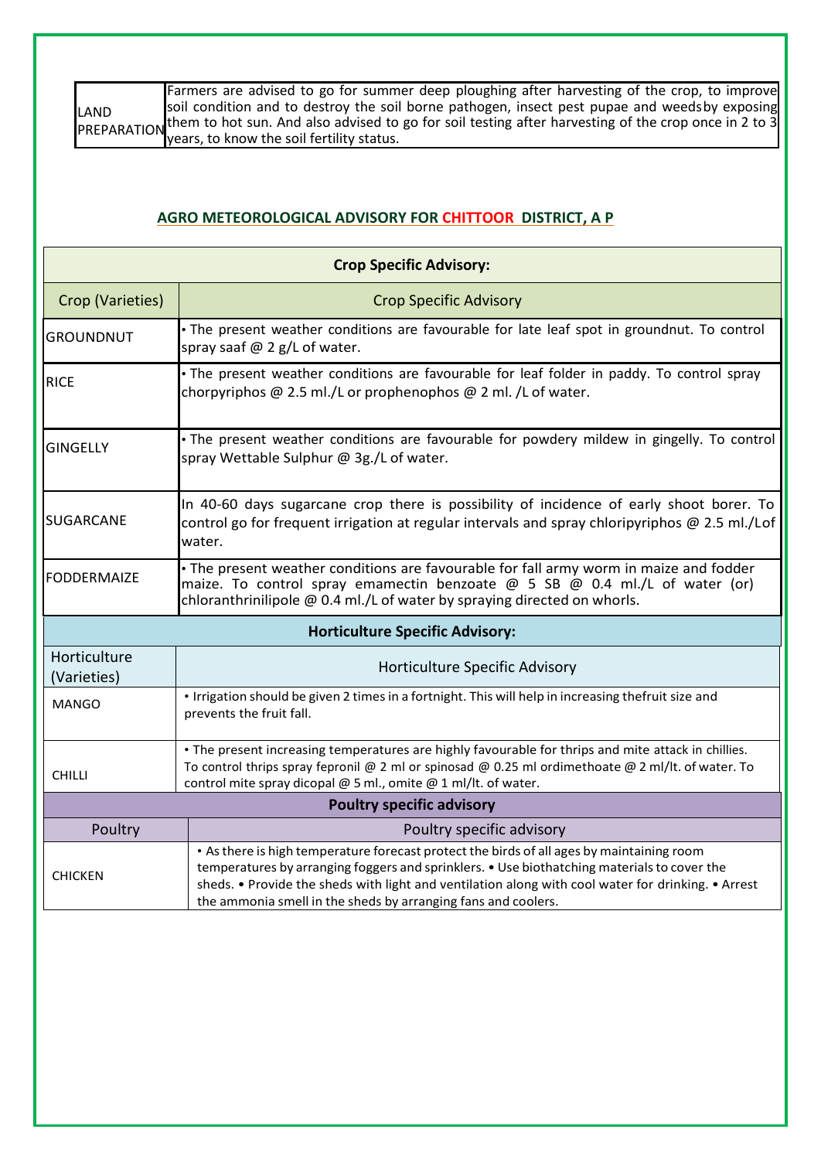|      | Farmers are advised to go for summer deep ploughing after harvesting of the crop, to improve                     |
|------|------------------------------------------------------------------------------------------------------------------|
| LAND | soil condition and to destroy the soil borne pathogen, insect pest pupae and weeds by exposing                   |
|      | PREPARATION them to hot sun. And also advised to go for soil testing after harvesting of the crop once in 2 to 3 |
|      | vears, to know the soil fertility status.                                                                        |

#### **AGRO METEOROLOGICAL ADVISORY FOR CHITTOOR DISTRICT, A P**

| <b>Crop Specific Advisory:</b>                                                                                                                                                                                                                                          |                                                                                                                                                                                                                                                                                                                                                                 |  |  |
|-------------------------------------------------------------------------------------------------------------------------------------------------------------------------------------------------------------------------------------------------------------------------|-----------------------------------------------------------------------------------------------------------------------------------------------------------------------------------------------------------------------------------------------------------------------------------------------------------------------------------------------------------------|--|--|
| Crop (Varieties)                                                                                                                                                                                                                                                        | <b>Crop Specific Advisory</b>                                                                                                                                                                                                                                                                                                                                   |  |  |
| <b>GROUNDNUT</b>                                                                                                                                                                                                                                                        | · The present weather conditions are favourable for late leaf spot in groundnut. To control<br>spray saaf @ 2 g/L of water.                                                                                                                                                                                                                                     |  |  |
| <b>RICE</b>                                                                                                                                                                                                                                                             | · The present weather conditions are favourable for leaf folder in paddy. To control spray<br>chorpyriphos @ 2.5 ml./L or prophenophos @ 2 ml. /L of water.                                                                                                                                                                                                     |  |  |
| <b>GINGELLY</b>                                                                                                                                                                                                                                                         | · The present weather conditions are favourable for powdery mildew in gingelly. To control<br>spray Wettable Sulphur @ 3g./L of water.                                                                                                                                                                                                                          |  |  |
| <b>SUGARCANE</b>                                                                                                                                                                                                                                                        | In 40-60 days sugarcane crop there is possibility of incidence of early shoot borer. To<br>control go for frequent irrigation at regular intervals and spray chloripyriphos @ 2.5 ml./Lof<br>water.                                                                                                                                                             |  |  |
| • The present weather conditions are favourable for fall army worm in maize and fodder<br><b>FODDERMAIZE</b><br>maize. To control spray emamectin benzoate @ 5 SB @ 0.4 ml./L of water (or)<br>chloranthrinilipole @ 0.4 ml./L of water by spraying directed on whorls. |                                                                                                                                                                                                                                                                                                                                                                 |  |  |
| <b>Horticulture Specific Advisory:</b>                                                                                                                                                                                                                                  |                                                                                                                                                                                                                                                                                                                                                                 |  |  |
| Horticulture<br>(Varieties)                                                                                                                                                                                                                                             | Horticulture Specific Advisory                                                                                                                                                                                                                                                                                                                                  |  |  |
| <b>MANGO</b>                                                                                                                                                                                                                                                            | . Irrigation should be given 2 times in a fortnight. This will help in increasing thefruit size and<br>prevents the fruit fall.                                                                                                                                                                                                                                 |  |  |
| <b>CHILLI</b>                                                                                                                                                                                                                                                           | • The present increasing temperatures are highly favourable for thrips and mite attack in chillies.<br>To control thrips spray fepronil @ 2 ml or spinosad @ 0.25 ml ordimethoate @ 2 ml/lt. of water. To<br>control mite spray dicopal @ 5 ml., omite @ 1 ml/lt. of water.                                                                                     |  |  |
| <b>Poultry specific advisory</b>                                                                                                                                                                                                                                        |                                                                                                                                                                                                                                                                                                                                                                 |  |  |
| Poultry                                                                                                                                                                                                                                                                 | Poultry specific advisory                                                                                                                                                                                                                                                                                                                                       |  |  |
| <b>CHICKEN</b>                                                                                                                                                                                                                                                          | . As there is high temperature forecast protect the birds of all ages by maintaining room<br>temperatures by arranging foggers and sprinklers. • Use biothatching materials to cover the<br>sheds. • Provide the sheds with light and ventilation along with cool water for drinking. • Arrest<br>the ammonia smell in the sheds by arranging fans and coolers. |  |  |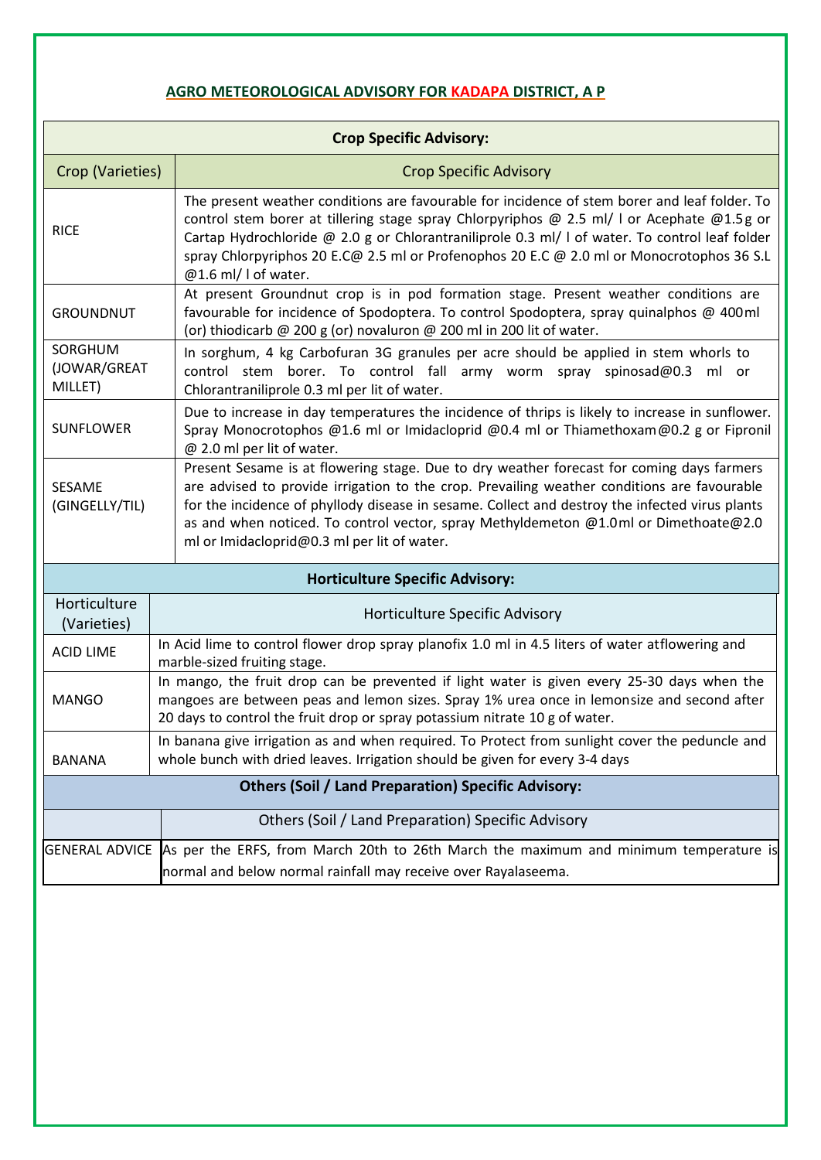# **AGRO METEOROLOGICAL ADVISORY FOR KADAPA DISTRICT, A P**

| <b>Crop Specific Advisory:</b>                                                                                                                                                            |                                                                                                                                                                                                                                                                                                                                                                                                                                   |  |  |
|-------------------------------------------------------------------------------------------------------------------------------------------------------------------------------------------|-----------------------------------------------------------------------------------------------------------------------------------------------------------------------------------------------------------------------------------------------------------------------------------------------------------------------------------------------------------------------------------------------------------------------------------|--|--|
| Crop (Varieties)                                                                                                                                                                          | <b>Crop Specific Advisory</b>                                                                                                                                                                                                                                                                                                                                                                                                     |  |  |
| <b>RICE</b>                                                                                                                                                                               | The present weather conditions are favourable for incidence of stem borer and leaf folder. To<br>control stem borer at tillering stage spray Chlorpyriphos @ 2.5 ml/ I or Acephate @1.5g or<br>Cartap Hydrochloride @ 2.0 g or Chlorantraniliprole 0.3 ml/ I of water. To control leaf folder<br>spray Chlorpyriphos 20 E.C@ 2.5 ml or Profenophos 20 E.C @ 2.0 ml or Monocrotophos 36 S.L<br>@1.6 ml/ I of water.                |  |  |
| <b>GROUNDNUT</b>                                                                                                                                                                          | At present Groundnut crop is in pod formation stage. Present weather conditions are<br>favourable for incidence of Spodoptera. To control Spodoptera, spray quinalphos @ 400ml<br>(or) thiodicarb @ 200 g (or) novaluron @ 200 ml in 200 lit of water.                                                                                                                                                                            |  |  |
| SORGHUM<br>(JOWAR/GREAT<br>MILLET)                                                                                                                                                        | In sorghum, 4 kg Carbofuran 3G granules per acre should be applied in stem whorls to<br>control stem borer. To control fall army worm spray spinosad@0.3 ml or<br>Chlorantraniliprole 0.3 ml per lit of water.                                                                                                                                                                                                                    |  |  |
| <b>SUNFLOWER</b>                                                                                                                                                                          | Due to increase in day temperatures the incidence of thrips is likely to increase in sunflower.<br>Spray Monocrotophos @1.6 ml or Imidacloprid @0.4 ml or Thiamethoxam@0.2 g or Fipronil<br>@ 2.0 ml per lit of water.                                                                                                                                                                                                            |  |  |
| SESAME<br>(GINGELLY/TIL)                                                                                                                                                                  | Present Sesame is at flowering stage. Due to dry weather forecast for coming days farmers<br>are advised to provide irrigation to the crop. Prevailing weather conditions are favourable<br>for the incidence of phyllody disease in sesame. Collect and destroy the infected virus plants<br>as and when noticed. To control vector, spray Methyldemeton @1.0ml or Dimethoate@2.0<br>ml or Imidacloprid@0.3 ml per lit of water. |  |  |
| <b>Horticulture Specific Advisory:</b>                                                                                                                                                    |                                                                                                                                                                                                                                                                                                                                                                                                                                   |  |  |
| Horticulture<br>(Varieties)                                                                                                                                                               | Horticulture Specific Advisory                                                                                                                                                                                                                                                                                                                                                                                                    |  |  |
| <b>ACID LIME</b>                                                                                                                                                                          | In Acid lime to control flower drop spray planofix 1.0 ml in 4.5 liters of water atflowering and<br>marble-sized fruiting stage.                                                                                                                                                                                                                                                                                                  |  |  |
| <b>MANGO</b>                                                                                                                                                                              | In mango, the fruit drop can be prevented if light water is given every 25-30 days when the<br>mangoes are between peas and lemon sizes. Spray 1% urea once in lemonsize and second after<br>20 days to control the fruit drop or spray potassium nitrate 10 g of water.                                                                                                                                                          |  |  |
| In banana give irrigation as and when required. To Protect from sunlight cover the peduncle and<br>whole bunch with dried leaves. Irrigation should be given for every 3-4 days<br>BANANA |                                                                                                                                                                                                                                                                                                                                                                                                                                   |  |  |
| <b>Others (Soil / Land Preparation) Specific Advisory:</b>                                                                                                                                |                                                                                                                                                                                                                                                                                                                                                                                                                                   |  |  |
|                                                                                                                                                                                           | Others (Soil / Land Preparation) Specific Advisory                                                                                                                                                                                                                                                                                                                                                                                |  |  |
|                                                                                                                                                                                           | GENERAL ADVICE As per the ERFS, from March 20th to 26th March the maximum and minimum temperature is<br>normal and below normal rainfall may receive over Rayalaseema.                                                                                                                                                                                                                                                            |  |  |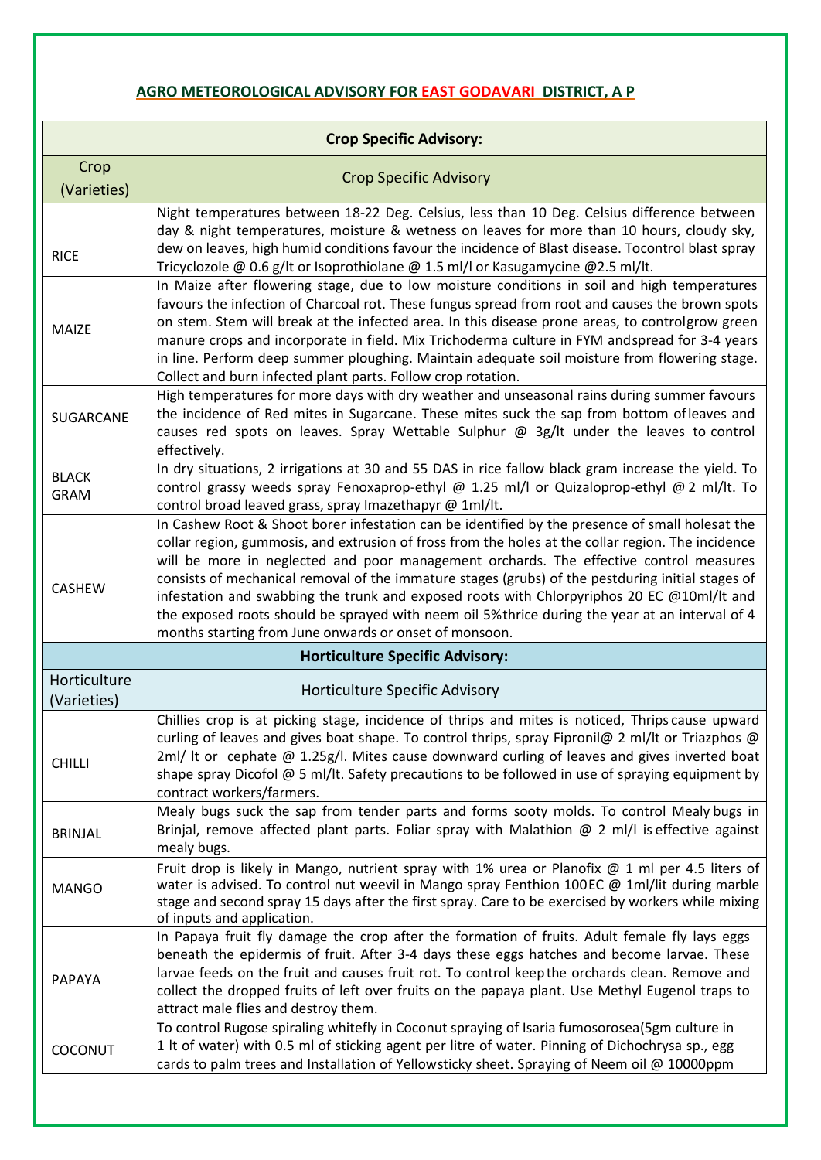# **AGRO METEOROLOGICAL ADVISORY FOR EAST GODAVARI DISTRICT, A P**

| <b>Crop Specific Advisory:</b> |                                                                                                                                                                                                                                                                                                                                                                                                                                                                                                                                                                                                                                                                 |  |  |  |
|--------------------------------|-----------------------------------------------------------------------------------------------------------------------------------------------------------------------------------------------------------------------------------------------------------------------------------------------------------------------------------------------------------------------------------------------------------------------------------------------------------------------------------------------------------------------------------------------------------------------------------------------------------------------------------------------------------------|--|--|--|
| Crop<br>(Varieties)            | <b>Crop Specific Advisory</b>                                                                                                                                                                                                                                                                                                                                                                                                                                                                                                                                                                                                                                   |  |  |  |
| <b>RICE</b>                    | Night temperatures between 18-22 Deg. Celsius, less than 10 Deg. Celsius difference between<br>day & night temperatures, moisture & wetness on leaves for more than 10 hours, cloudy sky,<br>dew on leaves, high humid conditions favour the incidence of Blast disease. Tocontrol blast spray<br>Tricyclozole @ 0.6 g/lt or Isoprothiolane @ 1.5 ml/l or Kasugamycine @2.5 ml/lt.                                                                                                                                                                                                                                                                              |  |  |  |
| <b>MAIZE</b>                   | In Maize after flowering stage, due to low moisture conditions in soil and high temperatures<br>favours the infection of Charcoal rot. These fungus spread from root and causes the brown spots<br>on stem. Stem will break at the infected area. In this disease prone areas, to controlgrow green<br>manure crops and incorporate in field. Mix Trichoderma culture in FYM andspread for 3-4 years<br>in line. Perform deep summer ploughing. Maintain adequate soil moisture from flowering stage.<br>Collect and burn infected plant parts. Follow crop rotation.                                                                                           |  |  |  |
| SUGARCANE                      | High temperatures for more days with dry weather and unseasonal rains during summer favours<br>the incidence of Red mites in Sugarcane. These mites suck the sap from bottom of leaves and<br>causes red spots on leaves. Spray Wettable Sulphur @ 3g/lt under the leaves to control<br>effectively.                                                                                                                                                                                                                                                                                                                                                            |  |  |  |
| <b>BLACK</b><br><b>GRAM</b>    | In dry situations, 2 irrigations at 30 and 55 DAS in rice fallow black gram increase the yield. To<br>control grassy weeds spray Fenoxaprop-ethyl @ 1.25 ml/l or Quizaloprop-ethyl @ 2 ml/lt. To<br>control broad leaved grass, spray Imazethapyr @ 1ml/lt.                                                                                                                                                                                                                                                                                                                                                                                                     |  |  |  |
| <b>CASHEW</b>                  | In Cashew Root & Shoot borer infestation can be identified by the presence of small holesat the<br>collar region, gummosis, and extrusion of fross from the holes at the collar region. The incidence<br>will be more in neglected and poor management orchards. The effective control measures<br>consists of mechanical removal of the immature stages (grubs) of the pestduring initial stages of<br>infestation and swabbing the trunk and exposed roots with Chlorpyriphos 20 EC @10ml/lt and<br>the exposed roots should be sprayed with neem oil 5% thrice during the year at an interval of 4<br>months starting from June onwards or onset of monsoon. |  |  |  |
|                                | <b>Horticulture Specific Advisory:</b>                                                                                                                                                                                                                                                                                                                                                                                                                                                                                                                                                                                                                          |  |  |  |
| Horticulture<br>(Varieties)    | Horticulture Specific Advisory                                                                                                                                                                                                                                                                                                                                                                                                                                                                                                                                                                                                                                  |  |  |  |
| <b>CHILLI</b>                  | Chillies crop is at picking stage, incidence of thrips and mites is noticed, Thrips cause upward<br>curling of leaves and gives boat shape. To control thrips, spray Fipronil@ 2 ml/lt or Triazphos @<br>$2ml/$ It or cephate @ 1.25g/l. Mites cause downward curling of leaves and gives inverted boat<br>shape spray Dicofol $@$ 5 ml/lt. Safety precautions to be followed in use of spraying equipment by<br>contract workers/farmers.                                                                                                                                                                                                                      |  |  |  |
| <b>BRINJAL</b>                 | Mealy bugs suck the sap from tender parts and forms sooty molds. To control Mealy bugs in<br>Brinjal, remove affected plant parts. Foliar spray with Malathion $@$ 2 ml/l is effective against<br>mealy bugs.                                                                                                                                                                                                                                                                                                                                                                                                                                                   |  |  |  |
| <b>MANGO</b>                   | Fruit drop is likely in Mango, nutrient spray with 1% urea or Planofix @ 1 ml per 4.5 liters of<br>water is advised. To control nut weevil in Mango spray Fenthion 100EC @ 1ml/lit during marble<br>stage and second spray 15 days after the first spray. Care to be exercised by workers while mixing<br>of inputs and application.                                                                                                                                                                                                                                                                                                                            |  |  |  |
| PAPAYA                         | In Papaya fruit fly damage the crop after the formation of fruits. Adult female fly lays eggs<br>beneath the epidermis of fruit. After 3-4 days these eggs hatches and become larvae. These<br>larvae feeds on the fruit and causes fruit rot. To control keepthe orchards clean. Remove and<br>collect the dropped fruits of left over fruits on the papaya plant. Use Methyl Eugenol traps to<br>attract male flies and destroy them.                                                                                                                                                                                                                         |  |  |  |
| COCONUT                        | To control Rugose spiraling whitefly in Coconut spraying of Isaria fumosorosea(5gm culture in<br>1 It of water) with 0.5 ml of sticking agent per litre of water. Pinning of Dichochrysa sp., egg<br>cards to palm trees and Installation of Yellowsticky sheet. Spraying of Neem oil @ 10000ppm                                                                                                                                                                                                                                                                                                                                                                |  |  |  |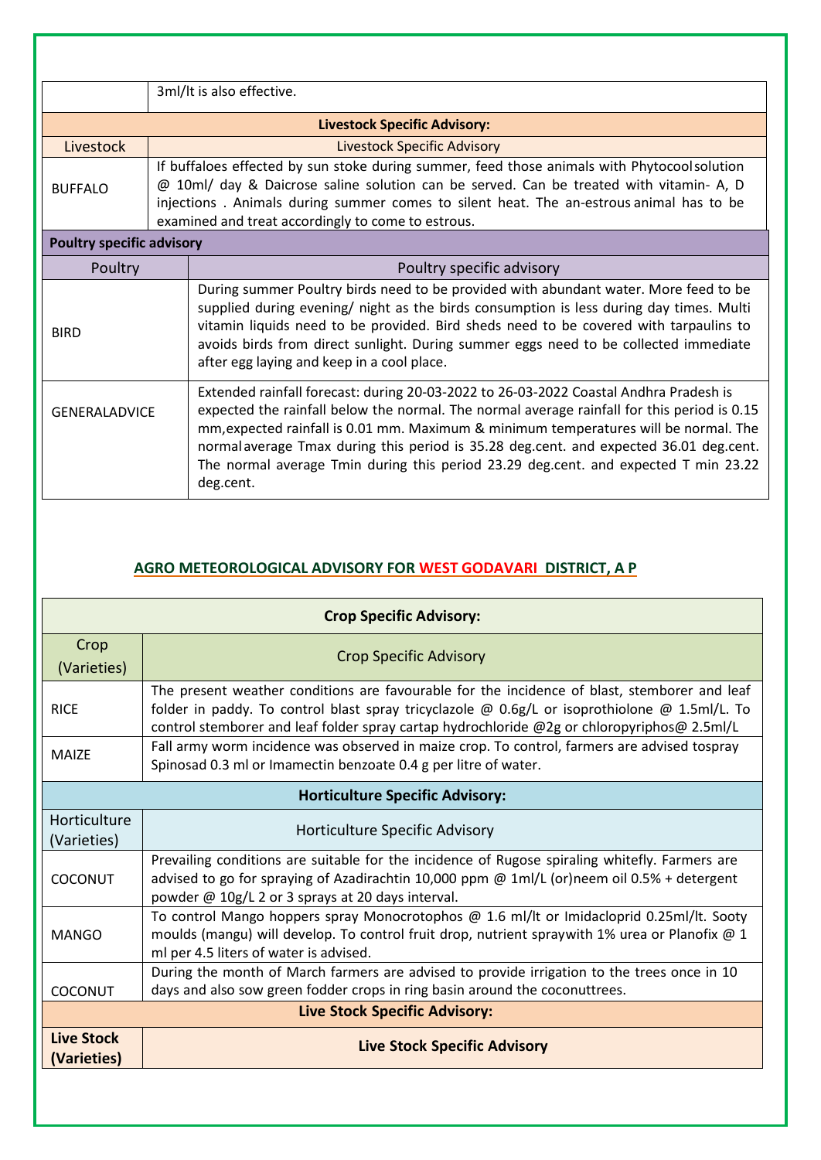|                                  | 3ml/lt is also effective.          |                                                                                                                                                                                                                                                                                                                                                                                                                                                                            |  |  |
|----------------------------------|------------------------------------|----------------------------------------------------------------------------------------------------------------------------------------------------------------------------------------------------------------------------------------------------------------------------------------------------------------------------------------------------------------------------------------------------------------------------------------------------------------------------|--|--|
|                                  |                                    | <b>Livestock Specific Advisory:</b>                                                                                                                                                                                                                                                                                                                                                                                                                                        |  |  |
| Livestock                        | <b>Livestock Specific Advisory</b> |                                                                                                                                                                                                                                                                                                                                                                                                                                                                            |  |  |
| <b>BUFFALO</b>                   |                                    | If buffaloes effected by sun stoke during summer, feed those animals with Phytocoolsolution<br>@ 10ml/ day & Daicrose saline solution can be served. Can be treated with vitamin- A, D<br>injections. Animals during summer comes to silent heat. The an-estrous animal has to be<br>examined and treat accordingly to come to estrous.                                                                                                                                    |  |  |
| <b>Poultry specific advisory</b> |                                    |                                                                                                                                                                                                                                                                                                                                                                                                                                                                            |  |  |
| Poultry                          |                                    | Poultry specific advisory                                                                                                                                                                                                                                                                                                                                                                                                                                                  |  |  |
| <b>BIRD</b>                      |                                    | During summer Poultry birds need to be provided with abundant water. More feed to be<br>supplied during evening/ night as the birds consumption is less during day times. Multi<br>vitamin liquids need to be provided. Bird sheds need to be covered with tarpaulins to<br>avoids birds from direct sunlight. During summer eggs need to be collected immediate<br>after egg laying and keep in a cool place.                                                             |  |  |
| <b>GENERALADVICE</b>             |                                    | Extended rainfall forecast: during 20-03-2022 to 26-03-2022 Coastal Andhra Pradesh is<br>expected the rainfall below the normal. The normal average rainfall for this period is 0.15<br>mm, expected rainfall is 0.01 mm. Maximum & minimum temperatures will be normal. The<br>normal average Tmax during this period is 35.28 deg.cent. and expected 36.01 deg.cent.<br>The normal average Tmin during this period 23.29 deg.cent. and expected T min 23.22<br>deg.cent. |  |  |

## **AGRO METEOROLOGICAL ADVISORY FOR WEST GODAVARI DISTRICT, A P**

| <b>Crop Specific Advisory:</b>         |                                                                                                                                                                                                                                                                                              |  |  |
|----------------------------------------|----------------------------------------------------------------------------------------------------------------------------------------------------------------------------------------------------------------------------------------------------------------------------------------------|--|--|
| Crop<br>(Varieties)                    | <b>Crop Specific Advisory</b>                                                                                                                                                                                                                                                                |  |  |
| <b>RICE</b>                            | The present weather conditions are favourable for the incidence of blast, stemborer and leaf<br>folder in paddy. To control blast spray tricyclazole @ 0.6g/L or isoprothiolone @ 1.5ml/L. To<br>control stemborer and leaf folder spray cartap hydrochloride @2g or chloropyriphos@ 2.5ml/L |  |  |
| <b>MAIZE</b>                           | Fall army worm incidence was observed in maize crop. To control, farmers are advised tospray<br>Spinosad 0.3 ml or Imamectin benzoate 0.4 g per litre of water.                                                                                                                              |  |  |
| <b>Horticulture Specific Advisory:</b> |                                                                                                                                                                                                                                                                                              |  |  |
| Horticulture<br>(Varieties)            | Horticulture Specific Advisory                                                                                                                                                                                                                                                               |  |  |
| COCONUT                                | Prevailing conditions are suitable for the incidence of Rugose spiraling whitefly. Farmers are<br>advised to go for spraying of Azadirachtin 10,000 ppm @ 1ml/L (or)neem oil 0.5% + detergent<br>powder @ 10g/L 2 or 3 sprays at 20 days interval.                                           |  |  |
| <b>MANGO</b>                           | To control Mango hoppers spray Monocrotophos @ 1.6 ml/lt or Imidacloprid 0.25ml/lt. Sooty<br>moulds (mangu) will develop. To control fruit drop, nutrient spraywith 1% urea or Planofix @ 1<br>ml per 4.5 liters of water is advised.                                                        |  |  |
| COCONUT                                | During the month of March farmers are advised to provide irrigation to the trees once in 10<br>days and also sow green fodder crops in ring basin around the coconuttrees.                                                                                                                   |  |  |
| <b>Live Stock Specific Advisory:</b>   |                                                                                                                                                                                                                                                                                              |  |  |
| <b>Live Stock</b><br>(Varieties)       | <b>Live Stock Specific Advisory</b>                                                                                                                                                                                                                                                          |  |  |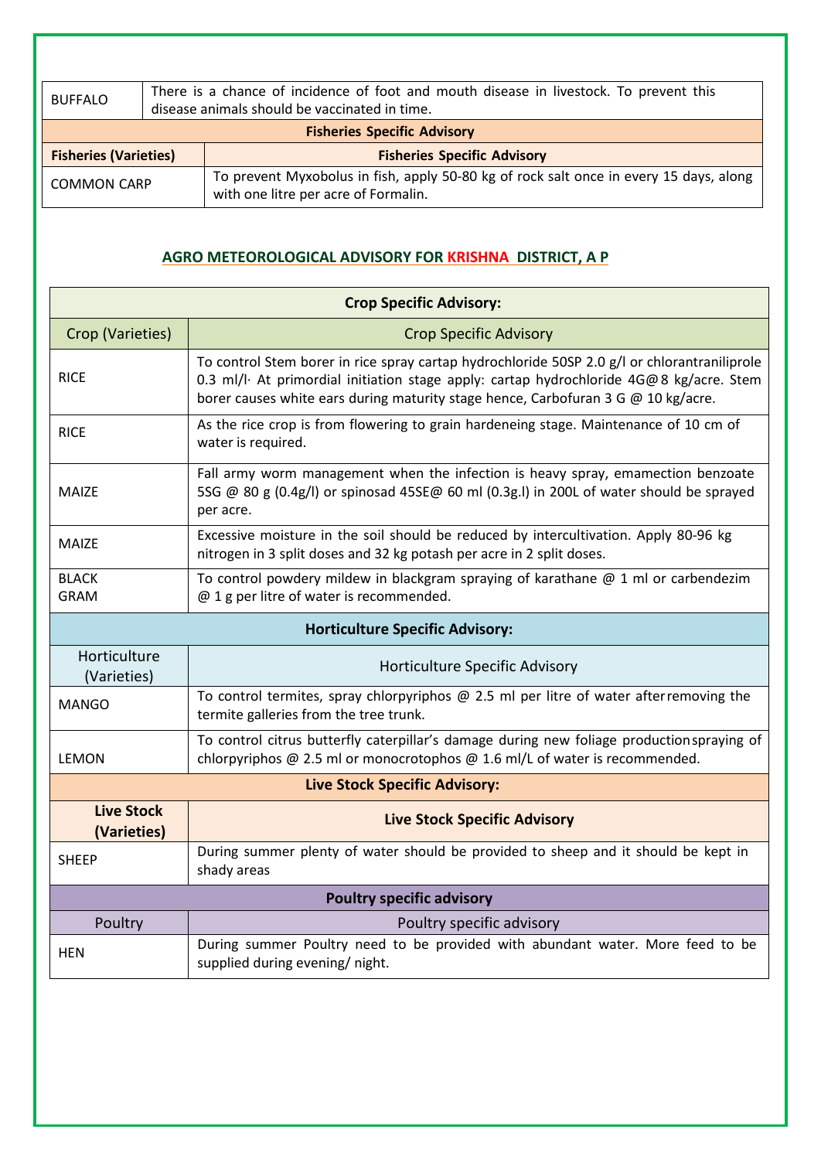| <b>BUFFALO</b>                     |  | There is a chance of incidence of foot and mouth disease in livestock. To prevent this<br>disease animals should be vaccinated in time. |  |
|------------------------------------|--|-----------------------------------------------------------------------------------------------------------------------------------------|--|
| <b>Fisheries Specific Advisory</b> |  |                                                                                                                                         |  |
| <b>Fisheries (Varieties)</b>       |  | <b>Fisheries Specific Advisory</b>                                                                                                      |  |
| <b>COMMON CARP</b>                 |  | To prevent Myxobolus in fish, apply 50-80 kg of rock salt once in every 15 days, along<br>with one litre per acre of Formalin.          |  |

#### **AGRO METEOROLOGICAL ADVISORY FOR KRISHNA DISTRICT, A P**

| <b>Crop Specific Advisory:</b>         |                                                                                                                                                                                                                                                                              |  |  |
|----------------------------------------|------------------------------------------------------------------------------------------------------------------------------------------------------------------------------------------------------------------------------------------------------------------------------|--|--|
| Crop (Varieties)                       | <b>Crop Specific Advisory</b>                                                                                                                                                                                                                                                |  |  |
| <b>RICE</b>                            | To control Stem borer in rice spray cartap hydrochloride 50SP 2.0 g/l or chlorantraniliprole<br>0.3 ml/l· At primordial initiation stage apply: cartap hydrochloride 4G@8 kg/acre. Stem<br>borer causes white ears during maturity stage hence, Carbofuran 3 G @ 10 kg/acre. |  |  |
| <b>RICE</b>                            | As the rice crop is from flowering to grain hardeneing stage. Maintenance of 10 cm of<br>water is required.                                                                                                                                                                  |  |  |
| <b>MAIZE</b>                           | Fall army worm management when the infection is heavy spray, emamection benzoate<br>5SG @ 80 g (0.4g/l) or spinosad 45SE@ 60 ml (0.3g.l) in 200L of water should be sprayed<br>per acre.                                                                                     |  |  |
| <b>MAIZE</b>                           | Excessive moisture in the soil should be reduced by intercultivation. Apply 80-96 kg<br>nitrogen in 3 split doses and 32 kg potash per acre in 2 split doses.                                                                                                                |  |  |
| <b>BLACK</b><br>GRAM                   | To control powdery mildew in blackgram spraying of karathane $\omega$ 1 ml or carbendezim<br>@ 1 g per litre of water is recommended.                                                                                                                                        |  |  |
| <b>Horticulture Specific Advisory:</b> |                                                                                                                                                                                                                                                                              |  |  |
| Horticulture<br>(Varieties)            | Horticulture Specific Advisory                                                                                                                                                                                                                                               |  |  |
| <b>MANGO</b>                           | To control termites, spray chlorpyriphos $@$ 2.5 ml per litre of water after removing the<br>termite galleries from the tree trunk.                                                                                                                                          |  |  |
| <b>LEMON</b>                           | To control citrus butterfly caterpillar's damage during new foliage productionspraying of<br>chlorpyriphos @ 2.5 ml or monocrotophos @ 1.6 ml/L of water is recommended.                                                                                                     |  |  |
| <b>Live Stock Specific Advisory:</b>   |                                                                                                                                                                                                                                                                              |  |  |
| <b>Live Stock</b><br>(Varieties)       | <b>Live Stock Specific Advisory</b>                                                                                                                                                                                                                                          |  |  |
| <b>SHEEP</b>                           | During summer plenty of water should be provided to sheep and it should be kept in<br>shady areas                                                                                                                                                                            |  |  |
| <b>Poultry specific advisory</b>       |                                                                                                                                                                                                                                                                              |  |  |
| Poultry                                | Poultry specific advisory                                                                                                                                                                                                                                                    |  |  |
| <b>HEN</b>                             | During summer Poultry need to be provided with abundant water. More feed to be<br>supplied during evening/ night.                                                                                                                                                            |  |  |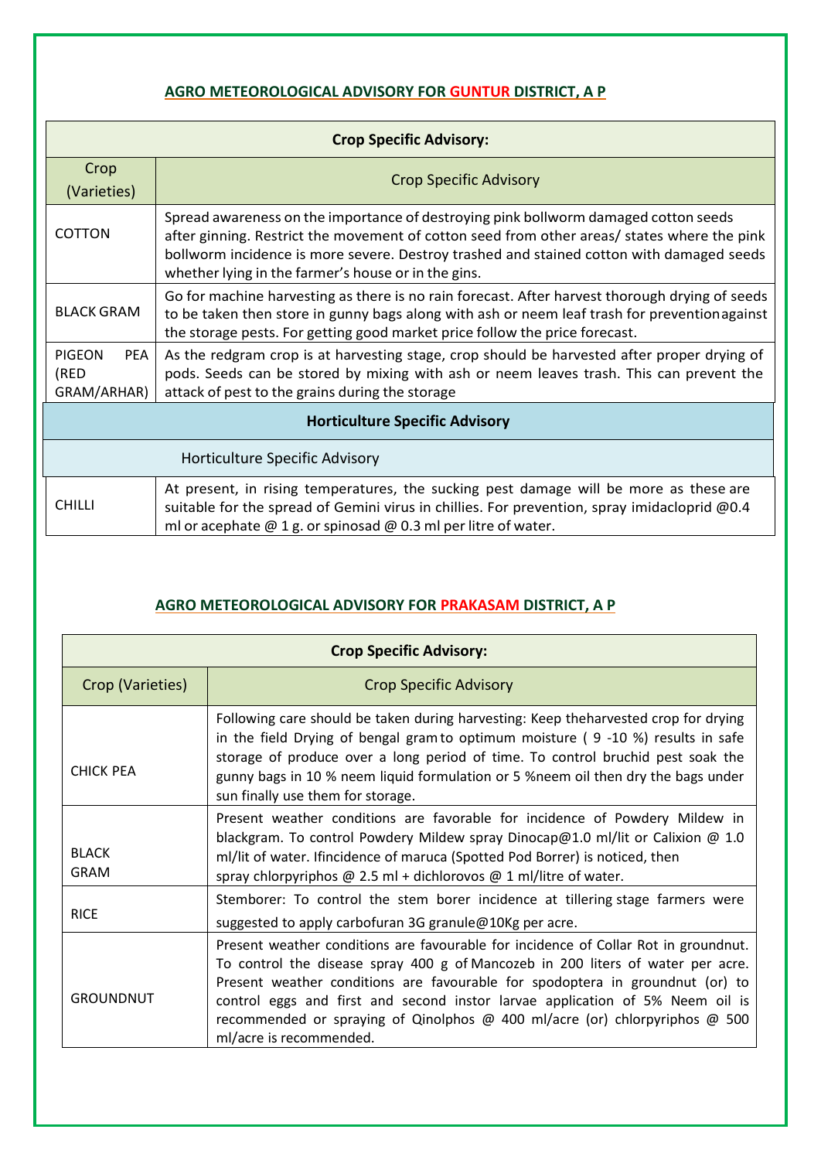## **AGRO METEOROLOGICAL ADVISORY FOR GUNTUR DISTRICT, A P**

| <b>Crop Specific Advisory:</b>              |                                                                                                                                                                                                                                                                                                                                       |  |  |
|---------------------------------------------|---------------------------------------------------------------------------------------------------------------------------------------------------------------------------------------------------------------------------------------------------------------------------------------------------------------------------------------|--|--|
| Crop<br>(Varieties)                         | <b>Crop Specific Advisory</b>                                                                                                                                                                                                                                                                                                         |  |  |
| <b>COTTON</b>                               | Spread awareness on the importance of destroying pink bollworm damaged cotton seeds<br>after ginning. Restrict the movement of cotton seed from other areas/ states where the pink<br>bollworm incidence is more severe. Destroy trashed and stained cotton with damaged seeds<br>whether lying in the farmer's house or in the gins. |  |  |
| <b>BLACK GRAM</b>                           | Go for machine harvesting as there is no rain forecast. After harvest thorough drying of seeds<br>to be taken then store in gunny bags along with ash or neem leaf trash for preventionagainst<br>the storage pests. For getting good market price follow the price forecast.                                                         |  |  |
| <b>PIGEON</b><br>PEA<br>(RED<br>GRAM/ARHAR) | As the redgram crop is at harvesting stage, crop should be harvested after proper drying of<br>pods. Seeds can be stored by mixing with ash or neem leaves trash. This can prevent the<br>attack of pest to the grains during the storage                                                                                             |  |  |
| <b>Horticulture Specific Advisory</b>       |                                                                                                                                                                                                                                                                                                                                       |  |  |
| Horticulture Specific Advisory              |                                                                                                                                                                                                                                                                                                                                       |  |  |
| <b>CHILLI</b>                               | At present, in rising temperatures, the sucking pest damage will be more as these are<br>suitable for the spread of Gemini virus in chillies. For prevention, spray imidacloprid @0.4<br>ml or acephate $@$ 1 g. or spinosad $@$ 0.3 ml per litre of water.                                                                           |  |  |

#### **AGRO METEOROLOGICAL ADVISORY FOR PRAKASAM DISTRICT, A P**

| <b>Crop Specific Advisory:</b> |                                                                                                                                                                                                                                                                                                                                                                                                                                                    |  |
|--------------------------------|----------------------------------------------------------------------------------------------------------------------------------------------------------------------------------------------------------------------------------------------------------------------------------------------------------------------------------------------------------------------------------------------------------------------------------------------------|--|
| Crop (Varieties)               | <b>Crop Specific Advisory</b>                                                                                                                                                                                                                                                                                                                                                                                                                      |  |
| <b>CHICK PEA</b>               | Following care should be taken during harvesting: Keep theharvested crop for drying<br>in the field Drying of bengal gram to optimum moisture ( $9 -10$ %) results in safe<br>storage of produce over a long period of time. To control bruchid pest soak the<br>gunny bags in 10 % neem liquid formulation or 5 % neem oil then dry the bags under<br>sun finally use them for storage.                                                           |  |
| <b>BLACK</b><br><b>GRAM</b>    | Present weather conditions are favorable for incidence of Powdery Mildew in<br>blackgram. To control Powdery Mildew spray Dinocap@1.0 ml/lit or Calixion @ 1.0<br>ml/lit of water. Ifincidence of maruca (Spotted Pod Borrer) is noticed, then<br>spray chlorpyriphos $\omega$ 2.5 ml + dichlorovos $\omega$ 1 ml/litre of water.                                                                                                                  |  |
| <b>RICE</b>                    | Stemborer: To control the stem borer incidence at tillering stage farmers were<br>suggested to apply carbofuran 3G granule@10Kg per acre.                                                                                                                                                                                                                                                                                                          |  |
| <b>GROUNDNUT</b>               | Present weather conditions are favourable for incidence of Collar Rot in groundnut.<br>To control the disease spray 400 g of Mancozeb in 200 liters of water per acre.<br>Present weather conditions are favourable for spodoptera in groundnut (or) to<br>control eggs and first and second instor larvae application of 5% Neem oil is<br>recommended or spraying of Qinolphos @ 400 ml/acre (or) chlorpyriphos @ 500<br>ml/acre is recommended. |  |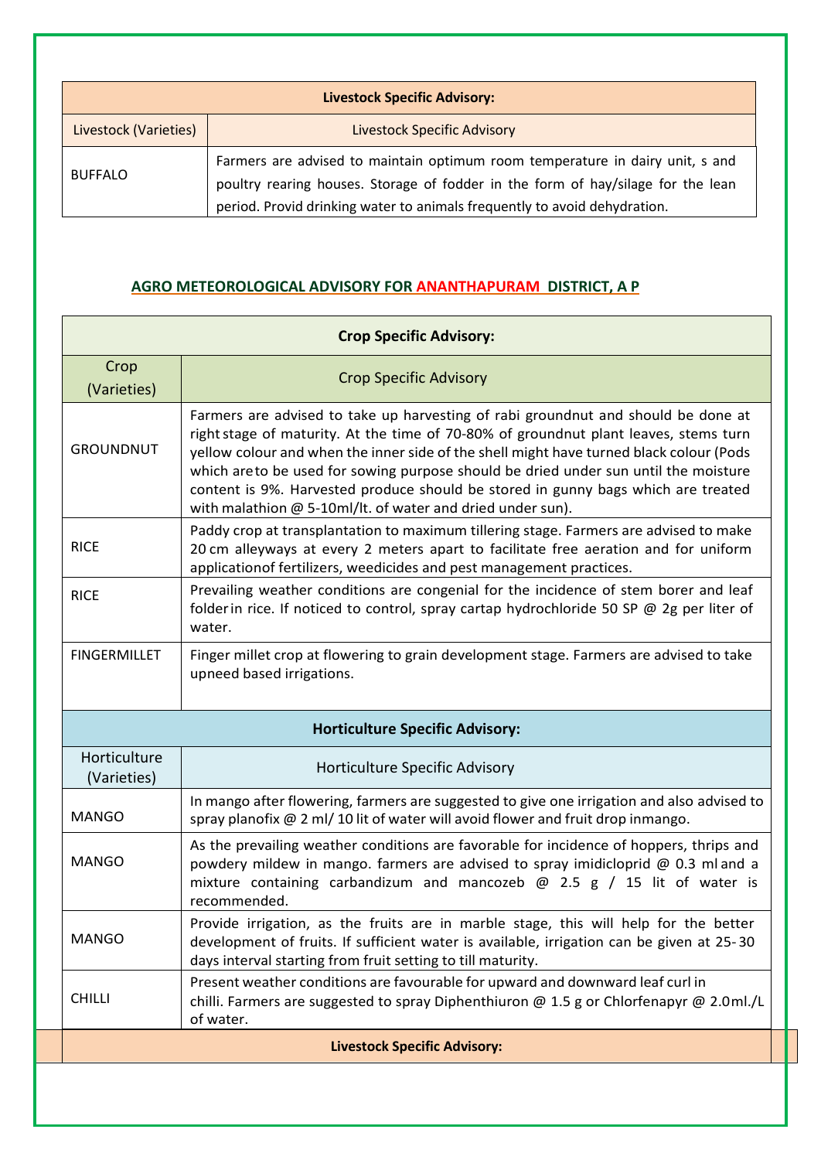| <b>Livestock Specific Advisory:</b> |                                                                                                                                                                                                                                                |  |
|-------------------------------------|------------------------------------------------------------------------------------------------------------------------------------------------------------------------------------------------------------------------------------------------|--|
| Livestock (Varieties)               | <b>Livestock Specific Advisory</b>                                                                                                                                                                                                             |  |
| <b>BUFFALO</b>                      | Farmers are advised to maintain optimum room temperature in dairy unit, s and<br>poultry rearing houses. Storage of fodder in the form of hay/silage for the lean<br>period. Provid drinking water to animals frequently to avoid dehydration. |  |

#### **AGRO METEOROLOGICAL ADVISORY FOR ANANTHAPURAM DISTRICT, A P**

| <b>Crop Specific Advisory:</b>      |                                                                                                                                                                                                                                                                                                                                                                                                                                                                                                                  |  |
|-------------------------------------|------------------------------------------------------------------------------------------------------------------------------------------------------------------------------------------------------------------------------------------------------------------------------------------------------------------------------------------------------------------------------------------------------------------------------------------------------------------------------------------------------------------|--|
| Crop<br>(Varieties)                 | <b>Crop Specific Advisory</b>                                                                                                                                                                                                                                                                                                                                                                                                                                                                                    |  |
| <b>GROUNDNUT</b>                    | Farmers are advised to take up harvesting of rabi groundnut and should be done at<br>right stage of maturity. At the time of 70-80% of groundnut plant leaves, stems turn<br>yellow colour and when the inner side of the shell might have turned black colour (Pods<br>which areto be used for sowing purpose should be dried under sun until the moisture<br>content is 9%. Harvested produce should be stored in gunny bags which are treated<br>with malathion $@$ 5-10ml/lt. of water and dried under sun). |  |
| <b>RICE</b>                         | Paddy crop at transplantation to maximum tillering stage. Farmers are advised to make<br>20 cm alleyways at every 2 meters apart to facilitate free aeration and for uniform<br>applicationof fertilizers, weedicides and pest management practices.                                                                                                                                                                                                                                                             |  |
| <b>RICE</b>                         | Prevailing weather conditions are congenial for the incidence of stem borer and leaf<br>folder in rice. If noticed to control, spray cartap hydrochloride 50 SP @ 2g per liter of<br>water.                                                                                                                                                                                                                                                                                                                      |  |
| <b>FINGERMILLET</b>                 | Finger millet crop at flowering to grain development stage. Farmers are advised to take<br>upneed based irrigations.                                                                                                                                                                                                                                                                                                                                                                                             |  |
|                                     | <b>Horticulture Specific Advisory:</b>                                                                                                                                                                                                                                                                                                                                                                                                                                                                           |  |
| Horticulture<br>(Varieties)         | Horticulture Specific Advisory                                                                                                                                                                                                                                                                                                                                                                                                                                                                                   |  |
| <b>MANGO</b>                        | In mango after flowering, farmers are suggested to give one irrigation and also advised to<br>spray planofix @ 2 ml/ 10 lit of water will avoid flower and fruit drop inmango.                                                                                                                                                                                                                                                                                                                                   |  |
| <b>MANGO</b>                        | As the prevailing weather conditions are favorable for incidence of hoppers, thrips and<br>powdery mildew in mango. farmers are advised to spray imidicloprid @ 0.3 ml and a<br>mixture containing carbandizum and mancozeb $\omega$ 2.5 g / 15 lit of water is<br>recommended.                                                                                                                                                                                                                                  |  |
| MANGO                               | Provide irrigation, as the fruits are in marble stage, this will help for the better<br>development of fruits. If sufficient water is available, irrigation can be given at 25-30<br>days interval starting from fruit setting to till maturity.                                                                                                                                                                                                                                                                 |  |
| <b>CHILLI</b>                       | Present weather conditions are favourable for upward and downward leaf curl in<br>chilli. Farmers are suggested to spray Diphenthiuron @ 1.5 g or Chlorfenapyr @ 2.0ml./L<br>of water.                                                                                                                                                                                                                                                                                                                           |  |
| <b>Livestock Specific Advisory:</b> |                                                                                                                                                                                                                                                                                                                                                                                                                                                                                                                  |  |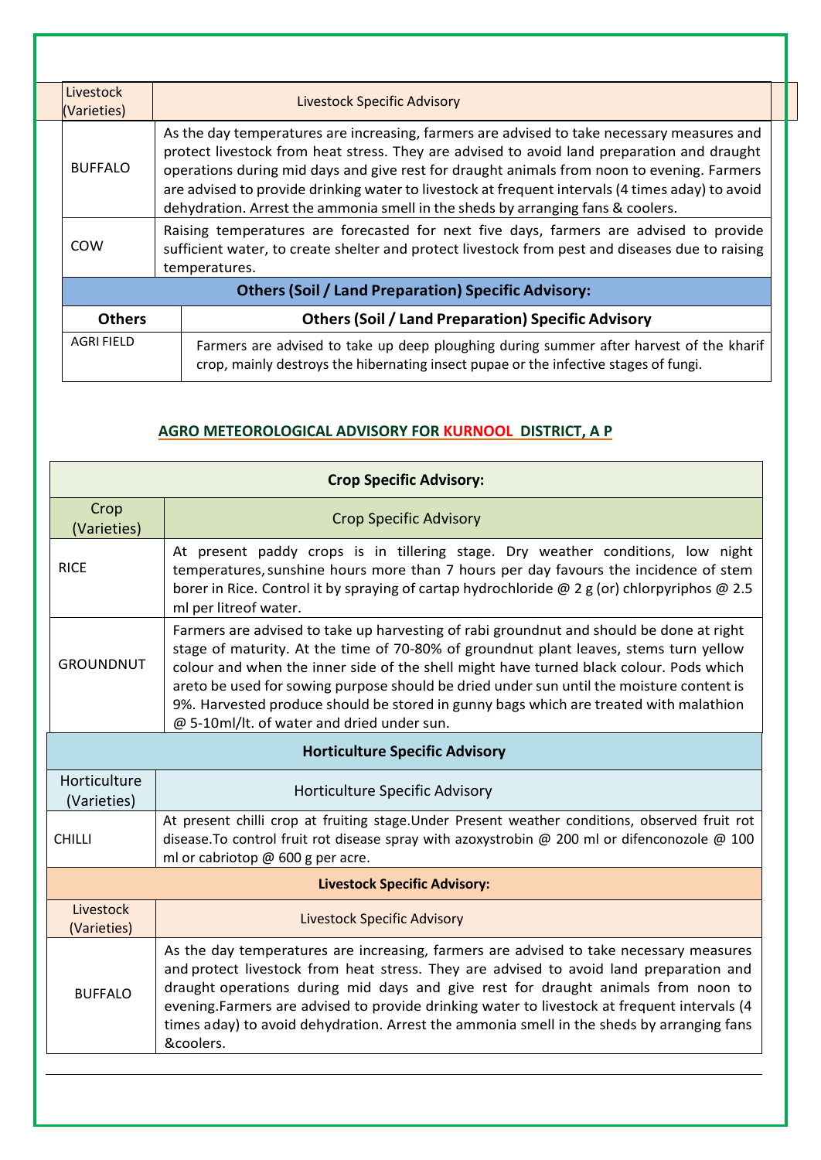|  | Livestock<br>(Varieties) |  | <b>Livestock Specific Advisory</b>                                                                                                                                                                                                                                                                                                                                                                                                                                            |  |  |
|--|--------------------------|--|-------------------------------------------------------------------------------------------------------------------------------------------------------------------------------------------------------------------------------------------------------------------------------------------------------------------------------------------------------------------------------------------------------------------------------------------------------------------------------|--|--|
|  | <b>BUFFALO</b>           |  | As the day temperatures are increasing, farmers are advised to take necessary measures and<br>protect livestock from heat stress. They are advised to avoid land preparation and draught<br>operations during mid days and give rest for draught animals from noon to evening. Farmers<br>are advised to provide drinking water to livestock at frequent intervals (4 times aday) to avoid<br>dehydration. Arrest the ammonia smell in the sheds by arranging fans & coolers. |  |  |
|  | COW                      |  | Raising temperatures are forecasted for next five days, farmers are advised to provide<br>sufficient water, to create shelter and protect livestock from pest and diseases due to raising<br>temperatures.                                                                                                                                                                                                                                                                    |  |  |
|  |                          |  | <b>Others (Soil / Land Preparation) Specific Advisory:</b>                                                                                                                                                                                                                                                                                                                                                                                                                    |  |  |
|  | <b>Others</b>            |  | <b>Others (Soil / Land Preparation) Specific Advisory</b>                                                                                                                                                                                                                                                                                                                                                                                                                     |  |  |
|  | <b>AGRI FIELD</b>        |  | Farmers are advised to take up deep ploughing during summer after harvest of the kharif<br>crop, mainly destroys the hibernating insect pupae or the infective stages of fungi.                                                                                                                                                                                                                                                                                               |  |  |

## **AGRO METEOROLOGICAL ADVISORY FOR KURNOOL DISTRICT, A P**

|                                       | <b>Crop Specific Advisory:</b>                                                                                                                                                                                                                                                                                                                                                                                                                                                                                |  |  |  |
|---------------------------------------|---------------------------------------------------------------------------------------------------------------------------------------------------------------------------------------------------------------------------------------------------------------------------------------------------------------------------------------------------------------------------------------------------------------------------------------------------------------------------------------------------------------|--|--|--|
| Crop<br>(Varieties)                   | <b>Crop Specific Advisory</b>                                                                                                                                                                                                                                                                                                                                                                                                                                                                                 |  |  |  |
| <b>RICE</b>                           | At present paddy crops is in tillering stage. Dry weather conditions, low night<br>temperatures, sunshine hours more than 7 hours per day favours the incidence of stem<br>borer in Rice. Control it by spraying of cartap hydrochloride @ 2 g (or) chlorpyriphos @ 2.5<br>ml per litreof water.                                                                                                                                                                                                              |  |  |  |
| <b>GROUNDNUT</b>                      | Farmers are advised to take up harvesting of rabi groundnut and should be done at right<br>stage of maturity. At the time of 70-80% of groundnut plant leaves, stems turn yellow<br>colour and when the inner side of the shell might have turned black colour. Pods which<br>areto be used for sowing purpose should be dried under sun until the moisture content is<br>9%. Harvested produce should be stored in gunny bags which are treated with malathion<br>@ 5-10ml/lt. of water and dried under sun. |  |  |  |
| <b>Horticulture Specific Advisory</b> |                                                                                                                                                                                                                                                                                                                                                                                                                                                                                                               |  |  |  |
| Horticulture<br>(Varieties)           | Horticulture Specific Advisory                                                                                                                                                                                                                                                                                                                                                                                                                                                                                |  |  |  |
| <b>CHILLI</b>                         | At present chilli crop at fruiting stage. Under Present weather conditions, observed fruit rot<br>disease. To control fruit rot disease spray with azoxystrobin $\omega$ 200 ml or difenconozole $\omega$ 100<br>ml or cabriotop @ 600 g per acre.                                                                                                                                                                                                                                                            |  |  |  |
| <b>Livestock Specific Advisory:</b>   |                                                                                                                                                                                                                                                                                                                                                                                                                                                                                                               |  |  |  |
| Livestock<br>(Varieties)              | <b>Livestock Specific Advisory</b>                                                                                                                                                                                                                                                                                                                                                                                                                                                                            |  |  |  |
| <b>BUFFALO</b>                        | As the day temperatures are increasing, farmers are advised to take necessary measures<br>and protect livestock from heat stress. They are advised to avoid land preparation and<br>draught operations during mid days and give rest for draught animals from noon to<br>evening. Farmers are advised to provide drinking water to livestock at frequent intervals (4<br>times aday) to avoid dehydration. Arrest the ammonia smell in the sheds by arranging fans<br>&coolers.                               |  |  |  |
|                                       |                                                                                                                                                                                                                                                                                                                                                                                                                                                                                                               |  |  |  |